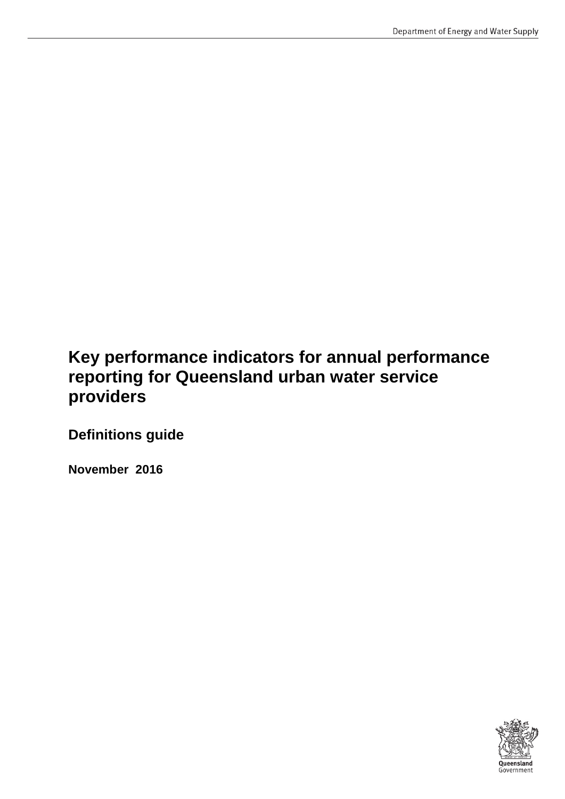# **Key performance indicators for annual performance reporting for Queensland urban water service providers**

**Definitions guide**

**November 2016**

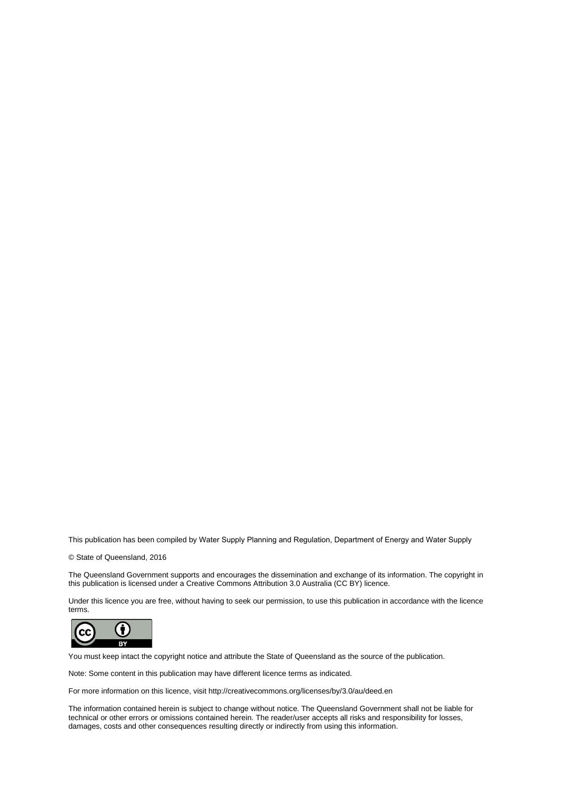This publication has been compiled by Water Supply Planning and Regulation, Department of Energy and Water Supply

© State of Queensland, 2016

The Queensland Government supports and encourages the dissemination and exchange of its information. The copyright in this publication is licensed under a Creative Commons Attribution 3.0 Australia (CC BY) licence.

Under this licence you are free, without having to seek our permission, to use this publication in accordance with the licence terms.



You must keep intact the copyright notice and attribute the State of Queensland as the source of the publication.

Note: Some content in this publication may have different licence terms as indicated.

For more information on this licence, visit http://creativecommons.org/licenses/by/3.0/au/deed.en

The information contained herein is subject to change without notice. The Queensland Government shall not be liable for technical or other errors or omissions contained herein. The reader/user accepts all risks and responsibility for losses, damages, costs and other consequences resulting directly or indirectly from using this information.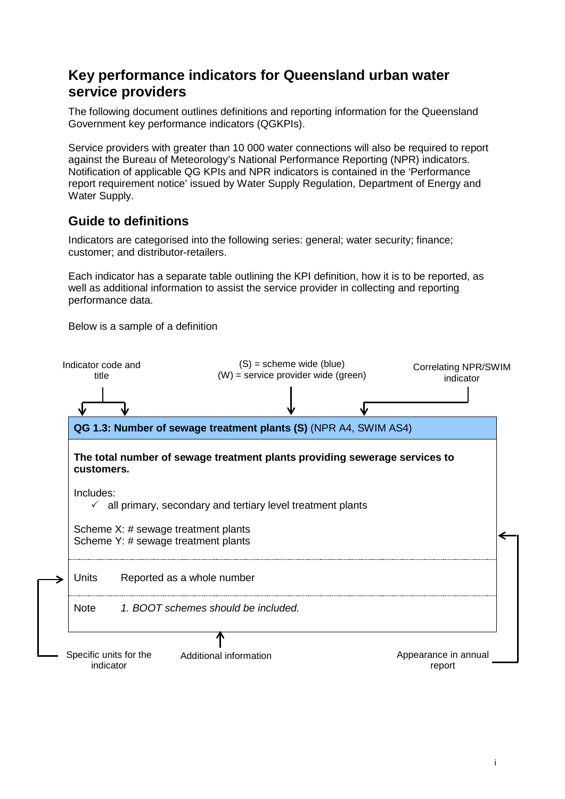# <span id="page-2-0"></span>**Key performance indicators for Queensland urban water service providers**

The following document outlines definitions and reporting information for the Queensland Government key performance indicators (QGKPIs).

Service providers with greater than 10 000 water connections will also be required to report against the Bureau of Meteorology's National Performance Reporting (NPR) indicators. Notification of applicable QG KPIs and NPR indicators is contained in the 'Performance report requirement notice' issued by Water Supply Regulation, Department of Energy and Water Supply.

# <span id="page-2-1"></span>**Guide to definitions**

Indicators are categorised into the following series: general; water security; finance; customer; and distributor-retailers.

Each indicator has a separate table outlining the KPI definition, how it is to be reported, as well as additional information to assist the service provider in collecting and reporting performance data.

Below is a sample of a definition

| Indicator code and<br>title                                                |  |                                     | $(S)$ = scheme wide (blue)<br>$(W)$ = service provider wide (green)        |  | <b>Correlating NPR/SWIM</b><br>indicator |  |
|----------------------------------------------------------------------------|--|-------------------------------------|----------------------------------------------------------------------------|--|------------------------------------------|--|
|                                                                            |  |                                     |                                                                            |  |                                          |  |
|                                                                            |  |                                     | QG 1.3: Number of sewage treatment plants (S) (NPR A4, SWIM AS4)           |  |                                          |  |
| customers.                                                                 |  |                                     | The total number of sewage treatment plants providing sewerage services to |  |                                          |  |
| Includes:                                                                  |  |                                     | $\checkmark$ all primary, secondary and tertiary level treatment plants    |  |                                          |  |
| Scheme X: # sewage treatment plants<br>Scheme Y: # sewage treatment plants |  |                                     |                                                                            |  |                                          |  |
| <b>Units</b>                                                               |  | Reported as a whole number          |                                                                            |  |                                          |  |
| <b>Note</b>                                                                |  | 1. BOOT schemes should be included. |                                                                            |  |                                          |  |
| Specific units for the<br>indicator                                        |  | Additional information              |                                                                            |  | Appearance in annual<br>report           |  |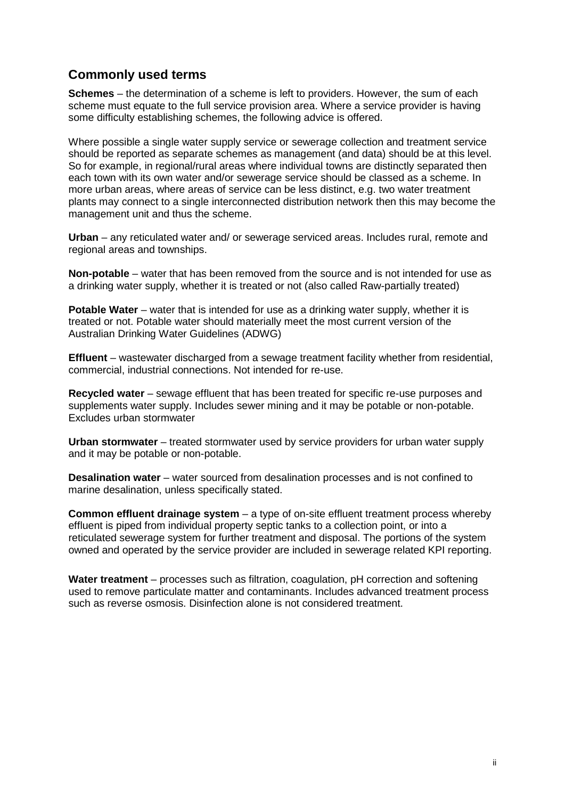# <span id="page-3-0"></span>**Commonly used terms**

**Schemes** – the determination of a scheme is left to providers. However, the sum of each scheme must equate to the full service provision area. Where a service provider is having some difficulty establishing schemes, the following advice is offered.

Where possible a single water supply service or sewerage collection and treatment service should be reported as separate schemes as management (and data) should be at this level. So for example, in regional/rural areas where individual towns are distinctly separated then each town with its own water and/or sewerage service should be classed as a scheme. In more urban areas, where areas of service can be less distinct, e.g. two water treatment plants may connect to a single interconnected distribution network then this may become the management unit and thus the scheme.

**Urban** – any reticulated water and/ or sewerage serviced areas. Includes rural, remote and regional areas and townships.

**Non-potable** – water that has been removed from the source and is not intended for use as a drinking water supply, whether it is treated or not (also called Raw-partially treated)

**Potable Water** – water that is intended for use as a drinking water supply, whether it is treated or not. Potable water should materially meet the most current version of the Australian Drinking Water Guidelines (ADWG)

**Effluent** – wastewater discharged from a sewage treatment facility whether from residential, commercial, industrial connections. Not intended for re-use.

**Recycled water** – sewage effluent that has been treated for specific re-use purposes and supplements water supply. Includes sewer mining and it may be potable or non-potable. Excludes urban stormwater

**Urban stormwater** – treated stormwater used by service providers for urban water supply and it may be potable or non-potable.

**Desalination water** – water sourced from desalination processes and is not confined to marine desalination, unless specifically stated.

**Common effluent drainage system** – a type of on-site effluent treatment process whereby effluent is piped from individual property septic tanks to a collection point, or into a reticulated sewerage system for further treatment and disposal. The portions of the system owned and operated by the service provider are included in sewerage related KPI reporting.

**Water treatment** – processes such as filtration, coagulation, pH correction and softening used to remove particulate matter and contaminants. Includes advanced treatment process such as reverse osmosis. Disinfection alone is not considered treatment.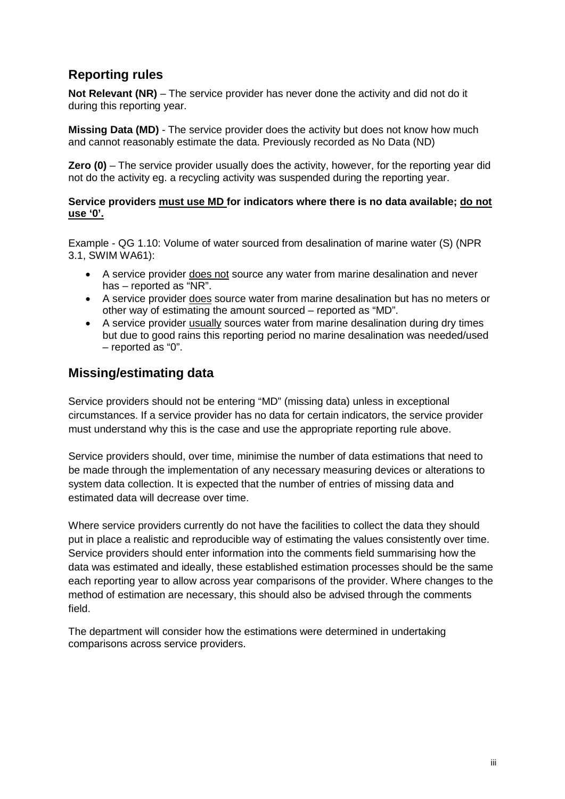# <span id="page-4-0"></span>**Reporting rules**

**Not Relevant (NR)** – The service provider has never done the activity and did not do it during this reporting year.

**Missing Data (MD)** - The service provider does the activity but does not know how much and cannot reasonably estimate the data. Previously recorded as No Data (ND)

**Zero (0)** – The service provider usually does the activity, however, for the reporting year did not do the activity eg. a recycling activity was suspended during the reporting year.

#### **Service providers must use MD for indicators where there is no data available; do not use '0'.**

Example - QG 1.10: Volume of water sourced from desalination of marine water (S) (NPR 3.1, SWIM WA61):

- A service provider does not source any water from marine desalination and never has – reported as "NR".
- A service provider does source water from marine desalination but has no meters or other way of estimating the amount sourced – reported as "MD".
- A service provider usually sources water from marine desalination during dry times but due to good rains this reporting period no marine desalination was needed/used – reported as "0".

# <span id="page-4-1"></span>**Missing/estimating data**

Service providers should not be entering "MD" (missing data) unless in exceptional circumstances. If a service provider has no data for certain indicators, the service provider must understand why this is the case and use the appropriate reporting rule above.

Service providers should, over time, minimise the number of data estimations that need to be made through the implementation of any necessary measuring devices or alterations to system data collection. It is expected that the number of entries of missing data and estimated data will decrease over time.

Where service providers currently do not have the facilities to collect the data they should put in place a realistic and reproducible way of estimating the values consistently over time. Service providers should enter information into the comments field summarising how the data was estimated and ideally, these established estimation processes should be the same each reporting year to allow across year comparisons of the provider. Where changes to the method of estimation are necessary, this should also be advised through the comments field.

The department will consider how the estimations were determined in undertaking comparisons across service providers.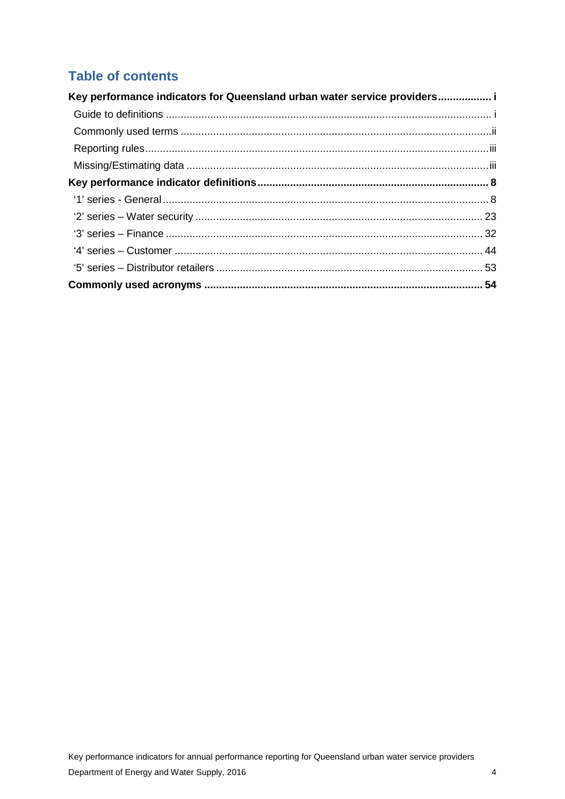# **Table of contents**

| Key performance indicators for Queensland urban water service providers i |  |
|---------------------------------------------------------------------------|--|
|                                                                           |  |
|                                                                           |  |
|                                                                           |  |
|                                                                           |  |
|                                                                           |  |
|                                                                           |  |
|                                                                           |  |
|                                                                           |  |
|                                                                           |  |
|                                                                           |  |
|                                                                           |  |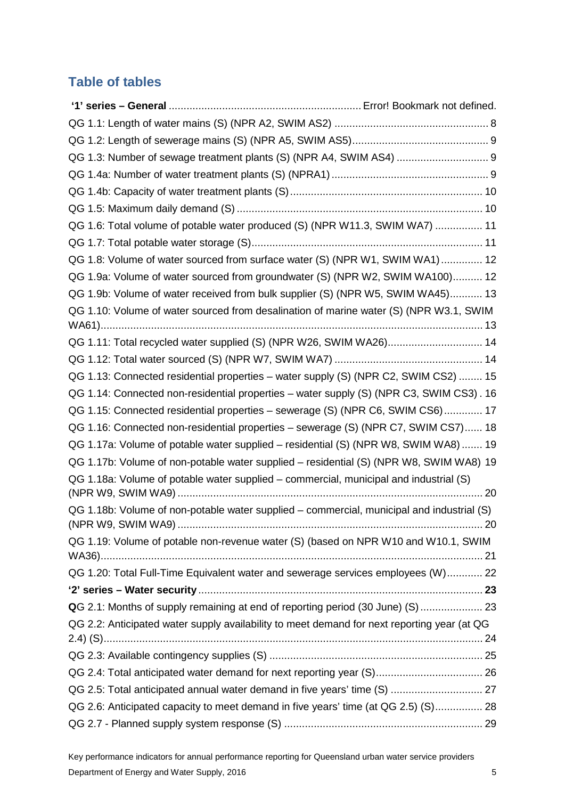# **Table of tables**

| QG 1.3: Number of sewage treatment plants (S) (NPR A4, SWIM AS4)  9                         |  |
|---------------------------------------------------------------------------------------------|--|
|                                                                                             |  |
|                                                                                             |  |
|                                                                                             |  |
| QG 1.6: Total volume of potable water produced (S) (NPR W11.3, SWIM WA7)  11                |  |
|                                                                                             |  |
| QG 1.8: Volume of water sourced from surface water (S) (NPR W1, SWIM WA1) 12                |  |
| QG 1.9a: Volume of water sourced from groundwater (S) (NPR W2, SWIM WA100) 12               |  |
| QG 1.9b: Volume of water received from bulk supplier (S) (NPR W5, SWIM WA45) 13             |  |
| QG 1.10: Volume of water sourced from desalination of marine water (S) (NPR W3.1, SWIM      |  |
| QG 1.11: Total recycled water supplied (S) (NPR W26, SWIM WA26) 14                          |  |
|                                                                                             |  |
| QG 1.13: Connected residential properties - water supply (S) (NPR C2, SWIM CS2)  15         |  |
| QG 1.14: Connected non-residential properties - water supply (S) (NPR C3, SWIM CS3). 16     |  |
| QG 1.15: Connected residential properties - sewerage (S) (NPR C6, SWIM CS6) 17              |  |
| QG 1.16: Connected non-residential properties - sewerage (S) (NPR C7, SWIM CS7) 18          |  |
| QG 1.17a: Volume of potable water supplied - residential (S) (NPR W8, SWIM WA8)  19         |  |
| QG 1.17b: Volume of non-potable water supplied - residential (S) (NPR W8, SWIM WA8) 19      |  |
| QG 1.18a: Volume of potable water supplied – commercial, municipal and industrial (S)       |  |
| QG 1.18b: Volume of non-potable water supplied – commercial, municipal and industrial (S)   |  |
| QG 1.19: Volume of potable non-revenue water (S) (based on NPR W10 and W10.1, SWIM          |  |
|                                                                                             |  |
| QG 1.20: Total Full-Time Equivalent water and sewerage services employees (W) 22            |  |
|                                                                                             |  |
| QG 2.1: Months of supply remaining at end of reporting period (30 June) (S)  23             |  |
| QG 2.2: Anticipated water supply availability to meet demand for next reporting year (at QG |  |
|                                                                                             |  |
|                                                                                             |  |
|                                                                                             |  |
| QG 2.5: Total anticipated annual water demand in five years' time (S)  27                   |  |
| QG 2.6: Anticipated capacity to meet demand in five years' time (at QG 2.5) (S) 28          |  |
|                                                                                             |  |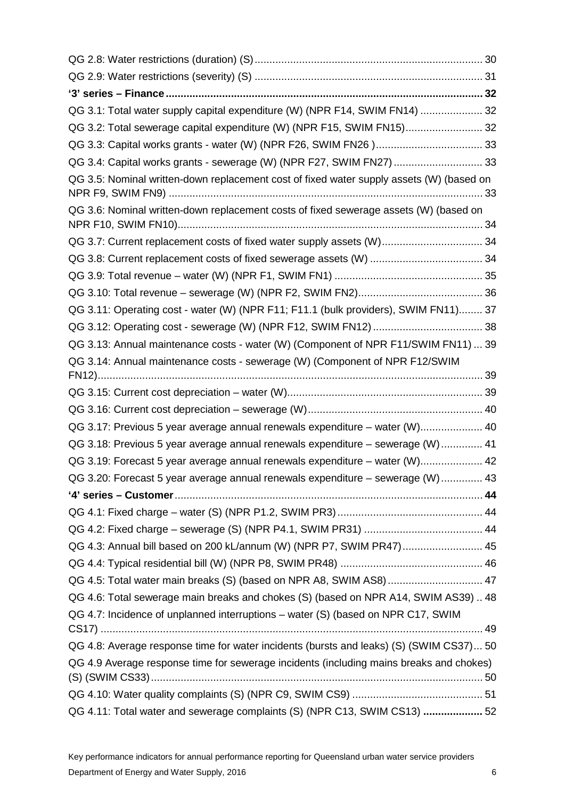| QG 3.1: Total water supply capital expenditure (W) (NPR F14, SWIM FN14)  32              |  |
|------------------------------------------------------------------------------------------|--|
| QG 3.2: Total sewerage capital expenditure (W) (NPR F15, SWIM FN15) 32                   |  |
|                                                                                          |  |
| QG 3.4: Capital works grants - sewerage (W) (NPR F27, SWIM FN27)  33                     |  |
| QG 3.5: Nominal written-down replacement cost of fixed water supply assets (W) (based on |  |
| QG 3.6: Nominal written-down replacement costs of fixed sewerage assets (W) (based on    |  |
| QG 3.7: Current replacement costs of fixed water supply assets (W) 34                    |  |
|                                                                                          |  |
|                                                                                          |  |
|                                                                                          |  |
| QG 3.11: Operating cost - water (W) (NPR F11; F11.1 (bulk providers), SWIM FN11) 37      |  |
|                                                                                          |  |
| QG 3.13: Annual maintenance costs - water (W) (Component of NPR F11/SWIM FN11)  39       |  |
| QG 3.14: Annual maintenance costs - sewerage (W) (Component of NPR F12/SWIM              |  |
|                                                                                          |  |
|                                                                                          |  |
| QG 3.17: Previous 5 year average annual renewals expenditure - water (W) 40              |  |
| QG 3.18: Previous 5 year average annual renewals expenditure - sewerage (W)  41          |  |
| QG 3.19: Forecast 5 year average annual renewals expenditure - water (W) 42              |  |
| QG 3.20: Forecast 5 year average annual renewals expenditure - sewerage (W)  43          |  |
|                                                                                          |  |
|                                                                                          |  |
|                                                                                          |  |
| QG 4.3: Annual bill based on 200 kL/annum (W) (NPR P7, SWIM PR47) 45                     |  |
|                                                                                          |  |
| QG 4.5: Total water main breaks (S) (based on NPR A8, SWIM AS8) 47                       |  |
| QG 4.6: Total sewerage main breaks and chokes (S) (based on NPR A14, SWIM AS39)  48      |  |
| QG 4.7: Incidence of unplanned interruptions - water (S) (based on NPR C17, SWIM         |  |
| QG 4.8: Average response time for water incidents (bursts and leaks) (S) (SWIM CS37) 50  |  |
| QG 4.9 Average response time for sewerage incidents (including mains breaks and chokes)  |  |
|                                                                                          |  |
|                                                                                          |  |
| QG 4.11: Total water and sewerage complaints (S) (NPR C13, SWIM CS13)  52                |  |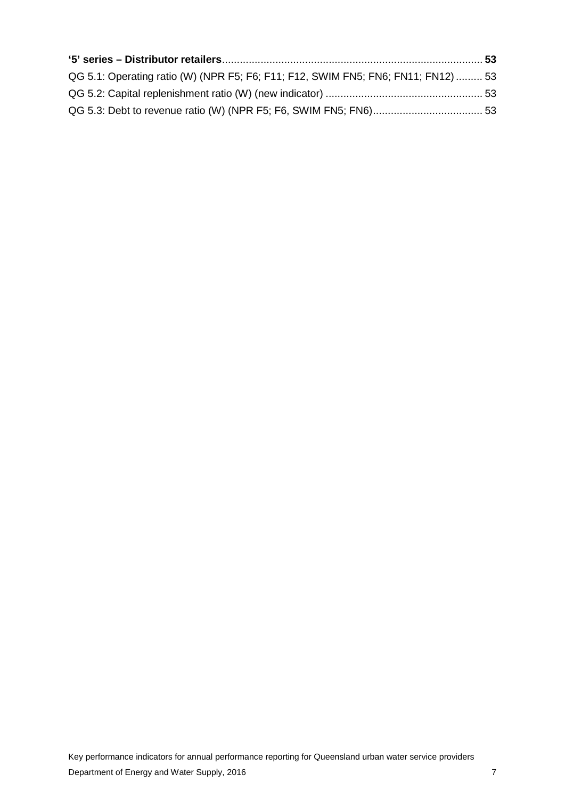| QG 5.1: Operating ratio (W) (NPR F5; F6; F11; F12, SWIM FN5; FN6; FN11; FN12)  53 |  |
|-----------------------------------------------------------------------------------|--|
|                                                                                   |  |
|                                                                                   |  |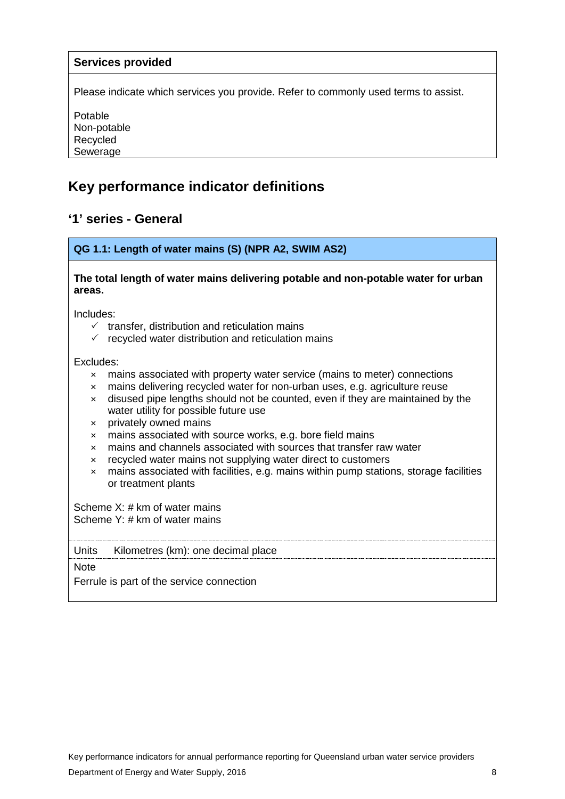### **Services provided**

Please indicate which services you provide. Refer to commonly used terms to assist.

Potable Non-potable Recycled Sewerage

# <span id="page-9-0"></span>**Key performance indicator definitions**

## <span id="page-9-1"></span>**'1' series - General**

#### <span id="page-9-2"></span>**QG 1.1: Length of water mains (S) (NPR A2, SWIM AS2)**

#### **The total length of water mains delivering potable and non-potable water for urban areas.**

Includes:

- $\checkmark$  transfer, distribution and reticulation mains
- $\checkmark$  recycled water distribution and reticulation mains

Excludes:

- × mains associated with property water service (mains to meter) connections
- × mains delivering recycled water for non-urban uses, e.g. agriculture reuse
- × disused pipe lengths should not be counted, even if they are maintained by the water utility for possible future use
- × privately owned mains
- × mains associated with source works, e.g. bore field mains
- × mains and channels associated with sources that transfer raw water
- × recycled water mains not supplying water direct to customers
- × mains associated with facilities, e.g. mains within pump stations, storage facilities or treatment plants

Scheme X: # km of water mains Scheme Y: # km of water mains

#### Units Kilometres (km): one decimal place

**Note** 

Ferrule is part of the service connection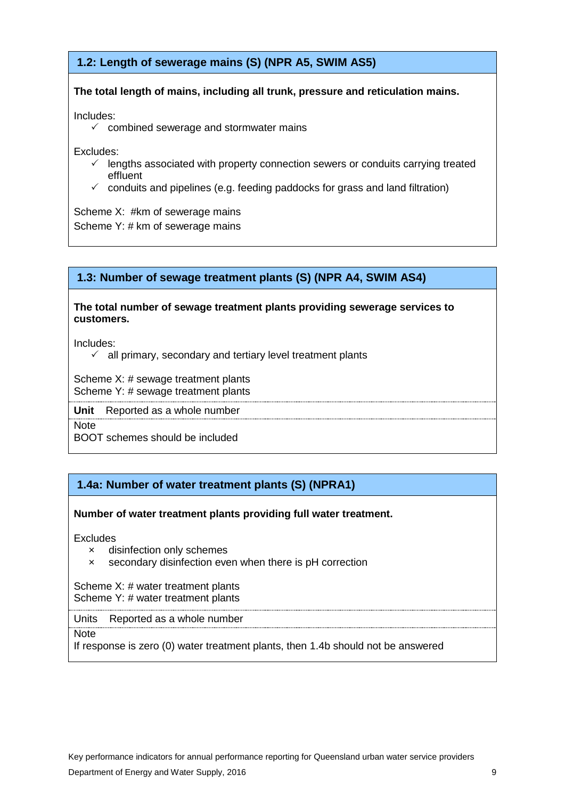# <span id="page-10-0"></span>**1.2: Length of sewerage mains (S) (NPR A5, SWIM AS5)**

### **The total length of mains, including all trunk, pressure and reticulation mains.**

Includes:

 $\checkmark$  combined sewerage and stormwater mains

Excludes:

- $\checkmark$  lengths associated with property connection sewers or conduits carrying treated effluent
- $\checkmark$  conduits and pipelines (e.g. feeding paddocks for grass and land filtration)

Scheme X: #km of sewerage mains Scheme Y: # km of sewerage mains

# **1.3: Number of sewage treatment plants (S) (NPR A4, SWIM AS4)**

#### **The total number of sewage treatment plants providing sewerage services to customers.**

Includes:

 $\checkmark$  all primary, secondary and tertiary level treatment plants

Scheme X: # sewage treatment plants Scheme Y: # sewage treatment plants

**Unit** Reported as a whole number

**Note** 

BOOT schemes should be included

# **1.4a: Number of water treatment plants (S) (NPRA1)**

### **Number of water treatment plants providing full water treatment.**

**Excludes** 

- × disinfection only schemes
- × secondary disinfection even when there is pH correction

Scheme X: # water treatment plants Scheme Y: # water treatment plants

#### Units Reported as a whole number

**Note** 

If response is zero (0) water treatment plants, then 1.4b should not be answered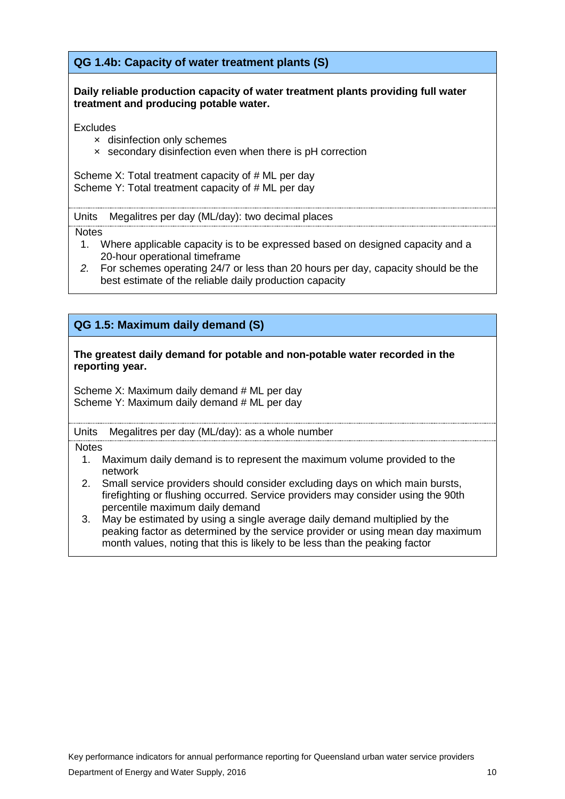**QG 1.4b: Capacity of water treatment plants (S)**

**Daily reliable production capacity of water treatment plants providing full water treatment and producing potable water.**

**Excludes** 

- × disinfection only schemes
- × secondary disinfection even when there is pH correction

Scheme X: Total treatment capacity of # ML per day Scheme Y: Total treatment capacity of # ML per day

Units Megalitres per day (ML/day): two decimal places

**Notes** 

- 1. Where applicable capacity is to be expressed based on designed capacity and a 20-hour operational timeframe
- *2.* For schemes operating 24/7 or less than 20 hours per day, capacity should be the best estimate of the reliable daily production capacity

## **QG 1.5: Maximum daily demand (S)**

#### **The greatest daily demand for potable and non-potable water recorded in the reporting year.**

Scheme X: Maximum daily demand # ML per day Scheme Y: Maximum daily demand # ML per day

Units Megalitres per day (ML/day): as a whole number

- 1. Maximum daily demand is to represent the maximum volume provided to the network
- 2. Small service providers should consider excluding days on which main bursts, firefighting or flushing occurred. Service providers may consider using the 90th percentile maximum daily demand
- 3. May be estimated by using a single average daily demand multiplied by the peaking factor as determined by the service provider or using mean day maximum month values, noting that this is likely to be less than the peaking factor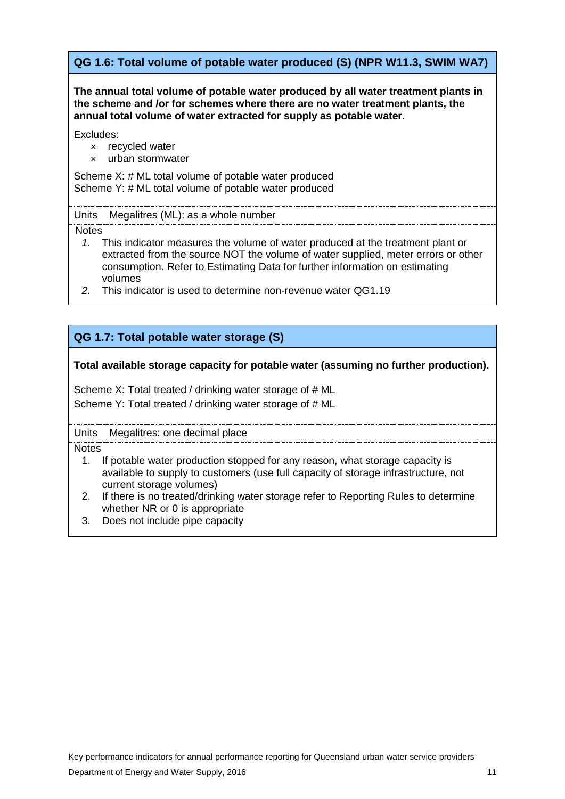# <span id="page-12-0"></span>**QG 1.6: Total volume of potable water produced (S) (NPR W11.3, SWIM WA7)**

**The annual total volume of potable water produced by all water treatment plants in the scheme and /or for schemes where there are no water treatment plants, the annual total volume of water extracted for supply as potable water.**

Excludes:

- × recycled water
- × urban stormwater

Scheme X: # ML total volume of potable water produced Scheme Y: # ML total volume of potable water produced

#### Units Megalitres (ML): as a whole number

**Notes** 

- *1.* This indicator measures the volume of water produced at the treatment plant or extracted from the source NOT the volume of water supplied, meter errors or other consumption. Refer to Estimating Data for further information on estimating volumes
- *2.* This indicator is used to determine non-revenue water QG1.19

# **QG 1.7: Total potable water storage (S)**

#### **Total available storage capacity for potable water (assuming no further production).**

Scheme X: Total treated / drinking water storage of # ML Scheme Y: Total treated / drinking water storage of # ML

#### Units Megalitres: one decimal place

- 1. If potable water production stopped for any reason, what storage capacity is available to supply to customers (use full capacity of storage infrastructure, not current storage volumes)
- 2. If there is no treated/drinking water storage refer to Reporting Rules to determine whether NR or 0 is appropriate
- 3. Does not include pipe capacity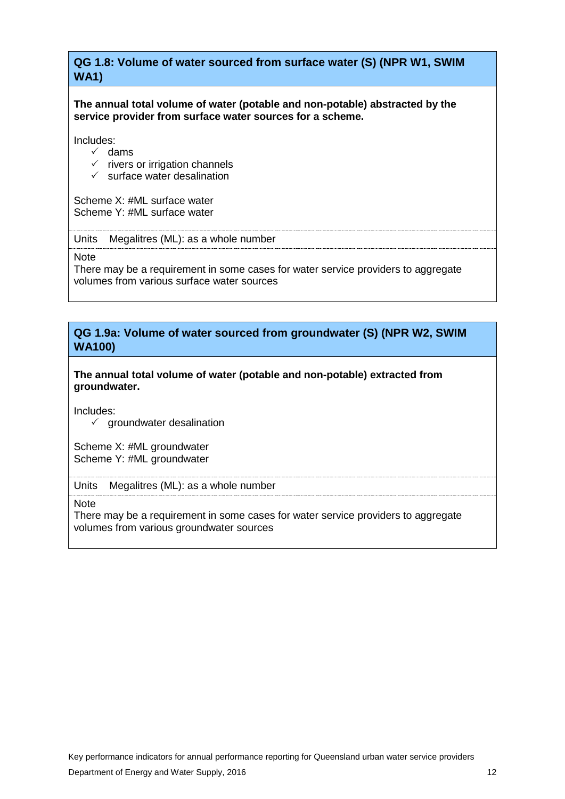# <span id="page-13-0"></span>**QG 1.8: Volume of water sourced from surface water (S) (NPR W1, SWIM WA1)**

**The annual total volume of water (potable and non-potable) abstracted by the service provider from surface water sources for a scheme.**

Includes:

- $\checkmark$  dams
- $\checkmark$  rivers or irrigation channels
- $\checkmark$  surface water desalination

Scheme X: #ML surface water Scheme Y: #ML surface water

Units Megalitres (ML): as a whole number

Note

There may be a requirement in some cases for water service providers to aggregate volumes from various surface water sources

### <span id="page-13-1"></span>**QG 1.9a: Volume of water sourced from groundwater (S) (NPR W2, SWIM WA100)**

**The annual total volume of water (potable and non-potable) extracted from groundwater.** 

Includes:

 $\checkmark$  groundwater desalination

Scheme X: #ML groundwater Scheme Y: #ML groundwater

Units Megalitres (ML): as a whole number

**Note** 

There may be a requirement in some cases for water service providers to aggregate volumes from various groundwater sources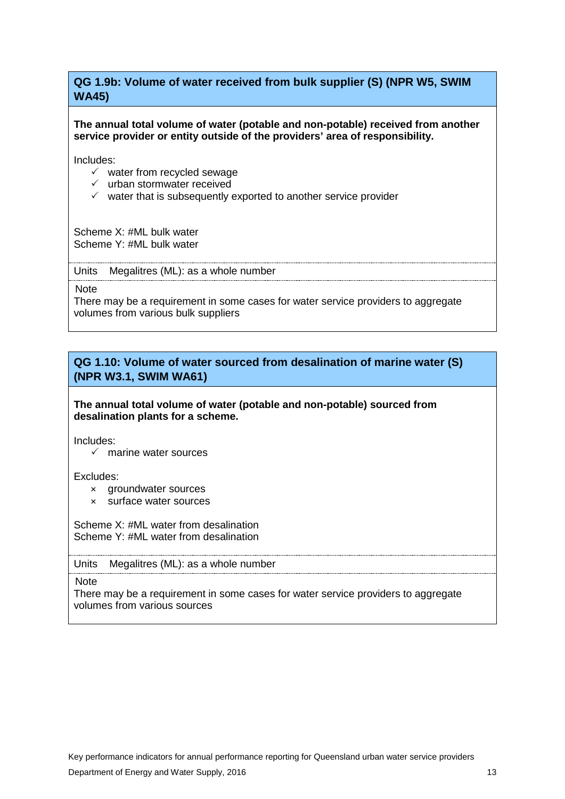# <span id="page-14-0"></span>**QG 1.9b: Volume of water received from bulk supplier (S) (NPR W5, SWIM WA45)**

#### **The annual total volume of water (potable and non-potable) received from another service provider or entity outside of the providers' area of responsibility.**

Includes:

- $\checkmark$  water from recycled sewage
- $\checkmark$  urban stormwater received
- $\checkmark$  water that is subsequently exported to another service provider

Scheme X: #ML bulk water Scheme Y: #ML bulk water

Units Megalitres (ML): as a whole number

**Note** 

There may be a requirement in some cases for water service providers to aggregate volumes from various bulk suppliers

# <span id="page-14-1"></span>**QG 1.10: Volume of water sourced from desalination of marine water (S) (NPR W3.1, SWIM WA61)**

**The annual total volume of water (potable and non-potable) sourced from desalination plants for a scheme.**

Includes:

 $\checkmark$  marine water sources

Excludes:

- × groundwater sources
- × surface water sources

Scheme X: #ML water from desalination Scheme Y: #ML water from desalination

#### Units Megalitres (ML): as a whole number

**Note** 

There may be a requirement in some cases for water service providers to aggregate volumes from various sources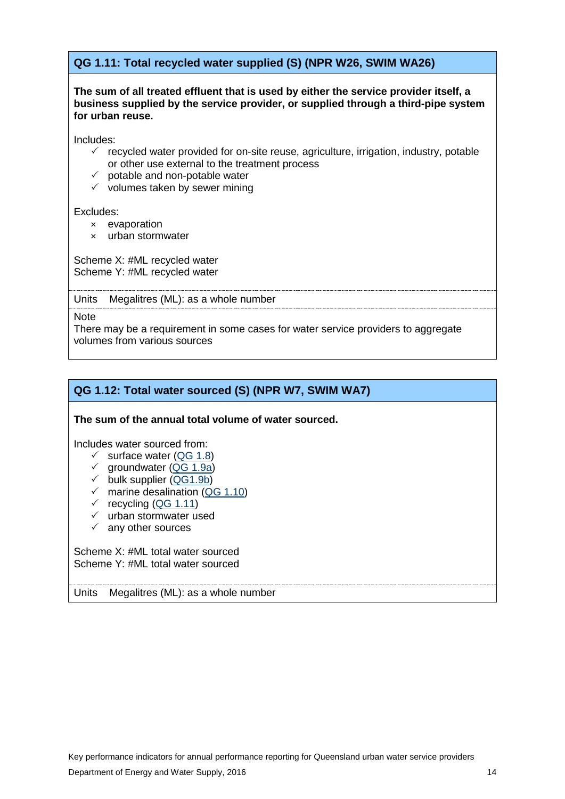# <span id="page-15-0"></span>**QG 1.11: Total recycled water supplied (S) (NPR W26, SWIM WA26)**

#### **The sum of all treated effluent that is used by either the service provider itself, a business supplied by the service provider, or supplied through a third-pipe system for urban reuse.**

Includes:

- $\checkmark$  recycled water provided for on-site reuse, agriculture, irrigation, industry, potable or other use external to the treatment process
- $\checkmark$  potable and non-potable water
- $\checkmark$  volumes taken by sewer mining

#### Excludes:

- × evaporation
- × urban stormwater

Scheme X: #ML recycled water Scheme Y: #ML recycled water

Units Megalitres (ML): as a whole number

**Note** 

There may be a requirement in some cases for water service providers to aggregate volumes from various sources

### **QG 1.12: Total water sourced (S) (NPR W7, SWIM WA7)**

#### **The sum of the annual total volume of water sourced.**

Includes water sourced from:

- $\checkmark$  surface water [\(QG 1.8\)](#page-13-0)
- √ groundwater [\(QG 1.9a\)](#page-13-1)
- bulk supplier [\(QG1.9b\)](#page-14-0)
- $\checkmark$  marine desalination [\(QG 1.10\)](#page-14-1)
- $\checkmark$  recycling [\(QG 1.11\)](#page-15-0)
- $\times$  urban stormwater used
- $\checkmark$  any other sources

Scheme X: #ML total water sourced Scheme Y: #ML total water sourced

#### Units Megalitres (ML): as a whole number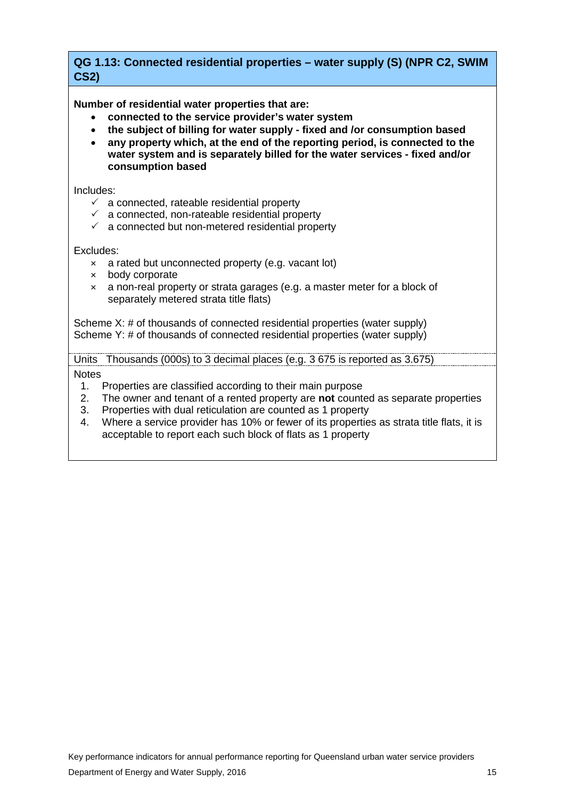# <span id="page-16-0"></span>**QG 1.13: Connected residential properties – water supply (S) (NPR C2, SWIM CS2)**

**Number of residential water properties that are:**

- **connected to the service provider's water system**
- **the subject of billing for water supply - fixed and /or consumption based**
- **any property which, at the end of the reporting period, is connected to the water system and is separately billed for the water services - fixed and/or consumption based**

Includes:

- $\checkmark$  a connected, rateable residential property
- $\checkmark$  a connected, non-rateable residential property
- $\checkmark$  a connected but non-metered residential property

Excludes:

- × a rated but unconnected property (e.g. vacant lot)
- × body corporate
- × a non-real property or strata garages (e.g. a master meter for a block of separately metered strata title flats)

Scheme X: # of thousands of connected residential properties (water supply) Scheme Y: # of thousands of connected residential properties (water supply)

Units Thousands (000s) to 3 decimal places (e.g. 3 675 is reported as 3.675)

- 1. Properties are classified according to their main purpose
- 2. The owner and tenant of a rented property are **not** counted as separate properties
- 3. Properties with dual reticulation are counted as 1 property
- 4. Where a service provider has 10% or fewer of its properties as strata title flats, it is acceptable to report each such block of flats as 1 property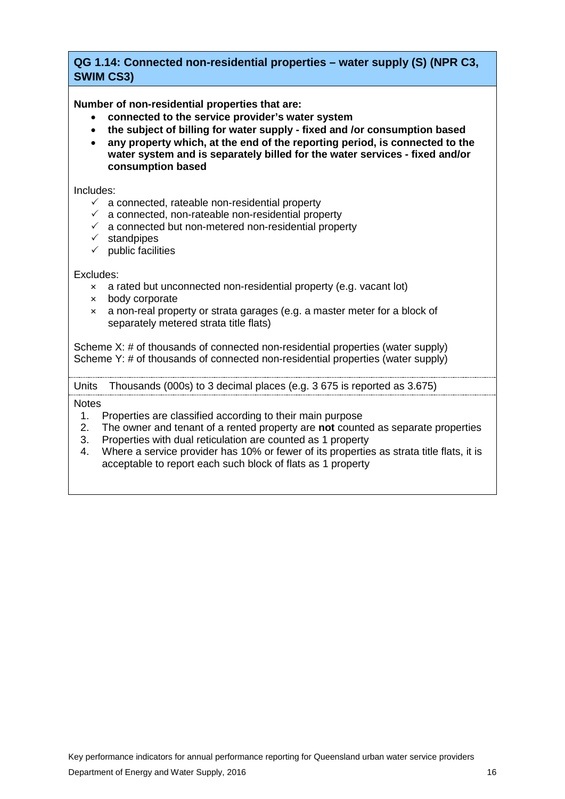# <span id="page-17-0"></span>**QG 1.14: Connected non-residential properties – water supply (S) (NPR C3, SWIM CS3)**

**Number of non-residential properties that are:**

- **connected to the service provider's water system**
- **the subject of billing for water supply - fixed and /or consumption based**
- **any property which, at the end of the reporting period, is connected to the water system and is separately billed for the water services - fixed and/or consumption based**

Includes:

- $\checkmark$  a connected, rateable non-residential property
- $\checkmark$  a connected, non-rateable non-residential property
- $\checkmark$  a connected but non-metered non-residential property
- $\checkmark$  standpipes
- $\checkmark$  public facilities

#### Excludes:

- × a rated but unconnected non-residential property (e.g. vacant lot)
- × body corporate
- × a non-real property or strata garages (e.g. a master meter for a block of separately metered strata title flats)

Scheme X: # of thousands of connected non-residential properties (water supply) Scheme Y: # of thousands of connected non-residential properties (water supply)

Units Thousands (000s) to 3 decimal places (e.g. 3 675 is reported as 3.675)

- 1. Properties are classified according to their main purpose<br>2. The owner and tenant of a rented property are **not** counter
- 2. The owner and tenant of a rented property are **not** counted as separate properties
- 3. Properties with dual reticulation are counted as 1 property
- 4. Where a service provider has 10% or fewer of its properties as strata title flats, it is acceptable to report each such block of flats as 1 property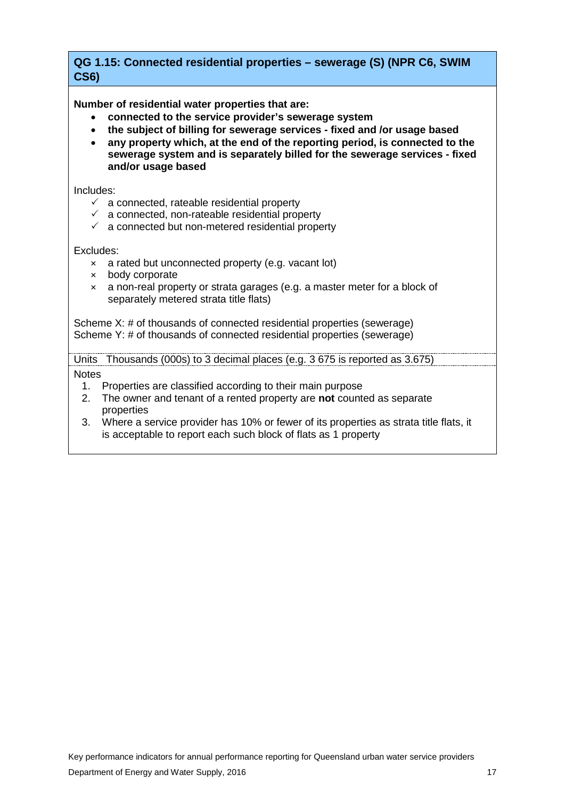# <span id="page-18-0"></span>**QG 1.15: Connected residential properties – sewerage (S) (NPR C6, SWIM CS6)**

**Number of residential water properties that are:**

- **connected to the service provider's sewerage system**
- **the subject of billing for sewerage services - fixed and /or usage based**
- **any property which, at the end of the reporting period, is connected to the sewerage system and is separately billed for the sewerage services - fixed and/or usage based**

Includes:

- $\checkmark$  a connected, rateable residential property
- $\checkmark$  a connected, non-rateable residential property
- $\checkmark$  a connected but non-metered residential property

Excludes:

- × a rated but unconnected property (e.g. vacant lot)
- × body corporate
- × a non-real property or strata garages (e.g. a master meter for a block of separately metered strata title flats)

Scheme X: # of thousands of connected residential properties (sewerage) Scheme Y: # of thousands of connected residential properties (sewerage)

Units Thousands (000s) to 3 decimal places (e.g. 3 675 is reported as 3.675)

- 1. Properties are classified according to their main purpose
- 2. The owner and tenant of a rented property are **not** counted as separate properties
- 3. Where a service provider has 10% or fewer of its properties as strata title flats, it is acceptable to report each such block of flats as 1 property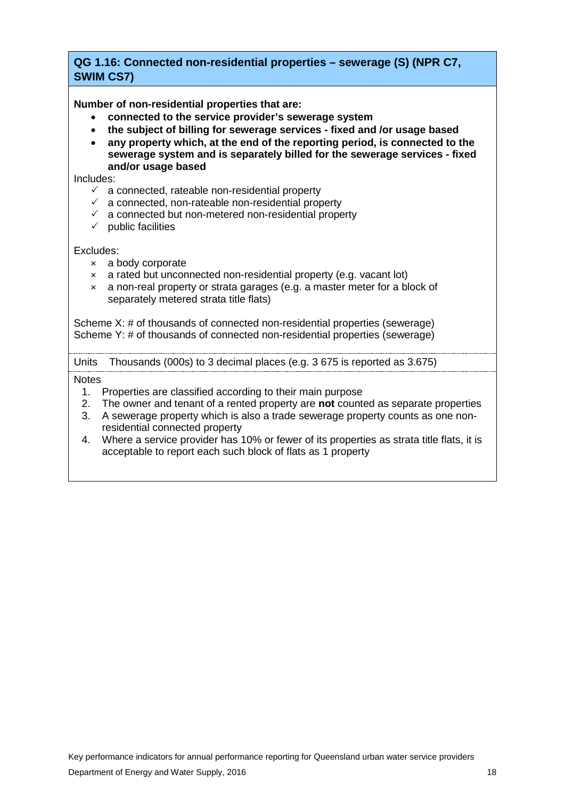# <span id="page-19-0"></span>**QG 1.16: Connected non-residential properties – sewerage (S) (NPR C7, SWIM CS7)**

**Number of non-residential properties that are:**

- **connected to the service provider's sewerage system**
- **the subject of billing for sewerage services - fixed and /or usage based**
- **any property which, at the end of the reporting period, is connected to the sewerage system and is separately billed for the sewerage services - fixed and/or usage based**

Includes:

- $\checkmark$  a connected, rateable non-residential property
- $\checkmark$  a connected, non-rateable non-residential property
- $\checkmark$  a connected but non-metered non-residential property
- $\checkmark$  public facilities

Excludes:

- × a body corporate
- $\times$  a rated but unconnected non-residential property (e.g. vacant lot)
- × a non-real property or strata garages (e.g. a master meter for a block of separately metered strata title flats)

Scheme X: # of thousands of connected non-residential properties (sewerage) Scheme Y: # of thousands of connected non-residential properties (sewerage)

Units Thousands (000s) to 3 decimal places (e.g. 3 675 is reported as 3.675)

- 1. Properties are classified according to their main purpose
- 2. The owner and tenant of a rented property are **not** counted as separate properties
- 3. A sewerage property which is also a trade sewerage property counts as one nonresidential connected property
- 4. Where a service provider has 10% or fewer of its properties as strata title flats, it is acceptable to report each such block of flats as 1 property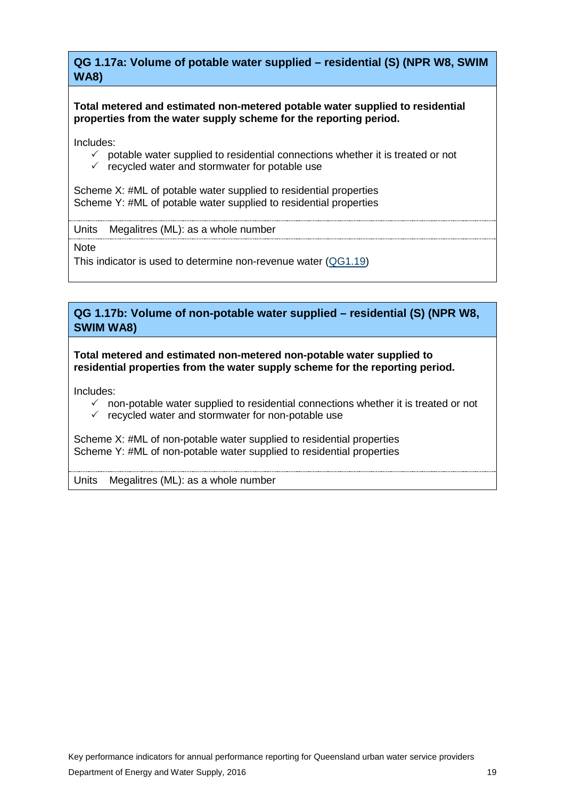<span id="page-20-0"></span>**QG 1.17a: Volume of potable water supplied – residential (S) (NPR W8, SWIM WA8)**

**Total metered and estimated non-metered potable water supplied to residential properties from the water supply scheme for the reporting period.** 

Includes:

- $\checkmark$  potable water supplied to residential connections whether it is treated or not
- $\checkmark$  recycled water and stormwater for potable use

Scheme X: #ML of potable water supplied to residential properties Scheme Y: #ML of potable water supplied to residential properties

Units Megalitres (ML): as a whole number

**Note** 

This indicator is used to determine non-revenue water [\(QG1.19\)](#page-22-0)

**QG 1.17b: Volume of non-potable water supplied – residential (S) (NPR W8, SWIM WA8)**

**Total metered and estimated non-metered non-potable water supplied to residential properties from the water supply scheme for the reporting period.** 

Includes:

- $\checkmark$  non-potable water supplied to residential connections whether it is treated or not
- $\checkmark$  recycled water and stormwater for non-potable use

Scheme X: #ML of non-potable water supplied to residential properties Scheme Y: #ML of non-potable water supplied to residential properties

Units Megalitres (ML): as a whole number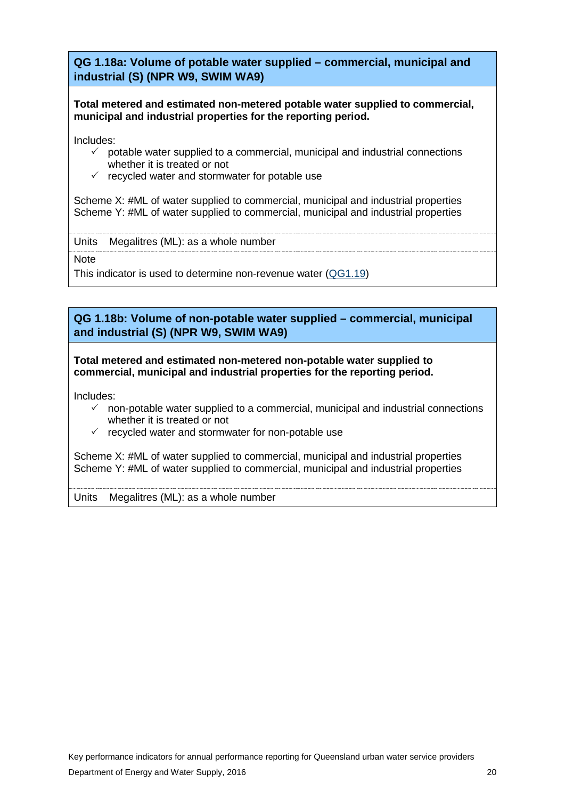<span id="page-21-0"></span>**QG 1.18a: Volume of potable water supplied – commercial, municipal and industrial (S) (NPR W9, SWIM WA9)**

**Total metered and estimated non-metered potable water supplied to commercial, municipal and industrial properties for the reporting period.** 

Includes:

- $\checkmark$  potable water supplied to a commercial, municipal and industrial connections whether it is treated or not
- $\checkmark$  recycled water and stormwater for potable use

Scheme X: #ML of water supplied to commercial, municipal and industrial properties Scheme Y: #ML of water supplied to commercial, municipal and industrial properties

Units Megalitres (ML): as a whole number

**Note** 

This indicator is used to determine non-revenue water [\(QG1.19\)](#page-22-0)

**QG 1.18b: Volume of non-potable water supplied – commercial, municipal and industrial (S) (NPR W9, SWIM WA9)**

**Total metered and estimated non-metered non-potable water supplied to commercial, municipal and industrial properties for the reporting period.** 

Includes:

- $\checkmark$  non-potable water supplied to a commercial, municipal and industrial connections whether it is treated or not
- $\checkmark$  recycled water and stormwater for non-potable use

Scheme X: #ML of water supplied to commercial, municipal and industrial properties Scheme Y: #ML of water supplied to commercial, municipal and industrial properties

Units Megalitres (ML): as a whole number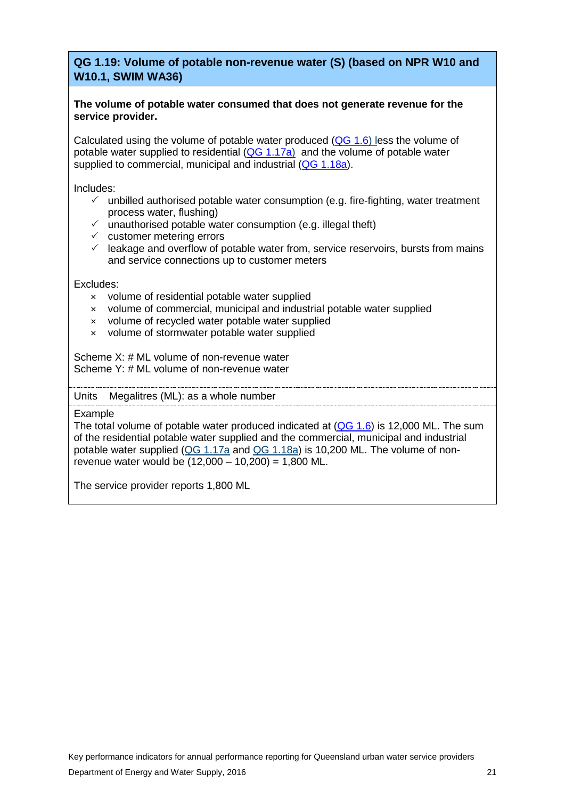# <span id="page-22-0"></span>**QG 1.19: Volume of potable non-revenue water (S) (based on NPR W10 and W10.1, SWIM WA36)**

#### **The volume of potable water consumed that does not generate revenue for the service provider.**

Calculated using the volume of potable water produced [\(QG 1.6\)](#page-12-0) less the volume of potable water supplied to residential  $(QG\ 1.17a)$  and the volume of potable water supplied to commercial, municipal and industrial [\(QG 1.18a\)](#page-21-0).

Includes:

- $\checkmark$  unbilled authorised potable water consumption (e.g. fire-fighting, water treatment process water, flushing)
- $\checkmark$  unauthorised potable water consumption (e.g. illegal theft)
- $\checkmark$  customer metering errors
- $\checkmark$  leakage and overflow of potable water from, service reservoirs, bursts from mains and service connections up to customer meters

Excludes:

- × volume of residential potable water supplied
- × volume of commercial, municipal and industrial potable water supplied
- × volume of recycled water potable water supplied
- × volume of stormwater potable water supplied

Scheme X: # ML volume of non-revenue water Scheme Y: # ML volume of non-revenue water

Units Megalitres (ML): as a whole number

Example

The total volume of potable water produced indicated at  $(QG 1.6)$  is 12,000 ML. The sum of the residential potable water supplied and the commercial, municipal and industrial potable water supplied (QG 1.17a and [QG 1.18a\)](#page-21-0) is 10,200 ML. The volume of nonrevenue water would be  $(12,000 - 10,200) = 1,800$  ML.

The service provider reports 1,800 ML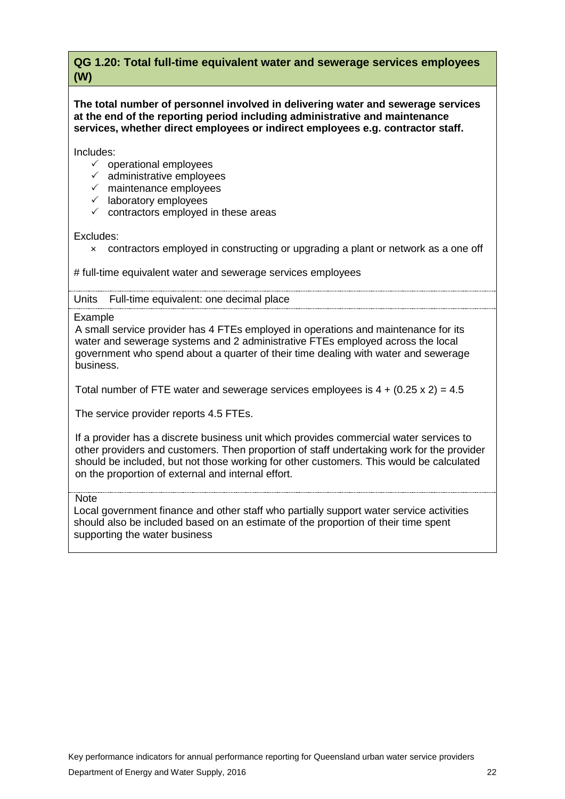# <span id="page-23-0"></span>**QG 1.20: Total full-time equivalent water and sewerage services employees (W)**

**The total number of personnel involved in delivering water and sewerage services at the end of the reporting period including administrative and maintenance services, whether direct employees or indirect employees e.g. contractor staff.** 

Includes:

- $\checkmark$  operational employees
- $\checkmark$  administrative employees
- $\checkmark$  maintenance employees
- $\checkmark$  laboratory employees
- $\checkmark$  contractors employed in these areas

Excludes:

× contractors employed in constructing or upgrading a plant or network as a one off

# full-time equivalent water and sewerage services employees

#### Units Full-time equivalent: one decimal place

Example

A small service provider has 4 FTEs employed in operations and maintenance for its water and sewerage systems and 2 administrative FTEs employed across the local government who spend about a quarter of their time dealing with water and sewerage business.

Total number of FTE water and sewerage services employees is  $4 + (0.25 \times 2) = 4.5$ 

The service provider reports 4.5 FTEs.

If a provider has a discrete business unit which provides commercial water services to other providers and customers. Then proportion of staff undertaking work for the provider should be included, but not those working for other customers. This would be calculated on the proportion of external and internal effort.

**Note** 

Local government finance and other staff who partially support water service activities should also be included based on an estimate of the proportion of their time spent supporting the water business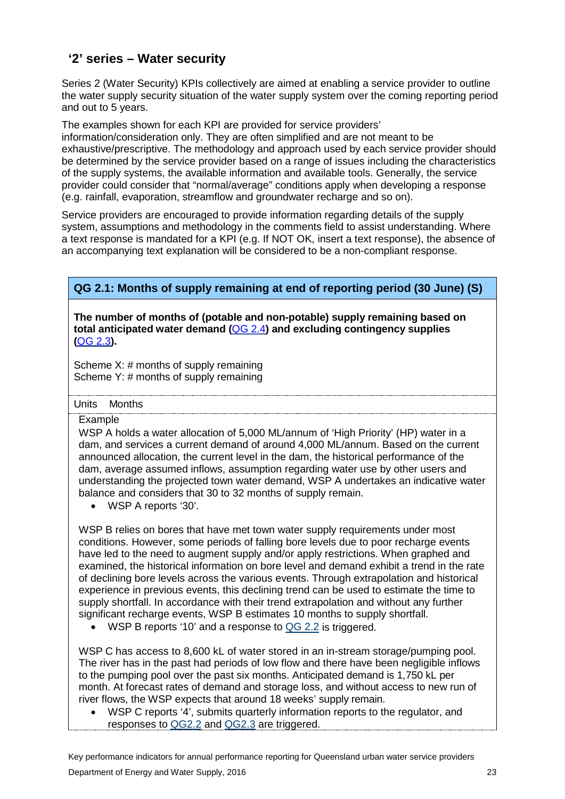# <span id="page-24-0"></span>**'2' series – Water security**

Series 2 (Water Security) KPIs collectively are aimed at enabling a service provider to outline the water supply security situation of the water supply system over the coming reporting period and out to 5 years.

The examples shown for each KPI are provided for service providers'

information/consideration only. They are often simplified and are not meant to be exhaustive/prescriptive. The methodology and approach used by each service provider should be determined by the service provider based on a range of issues including the characteristics of the supply systems, the available information and available tools. Generally, the service provider could consider that "normal/average" conditions apply when developing a response (e.g. rainfall, evaporation, streamflow and groundwater recharge and so on).

Service providers are encouraged to provide information regarding details of the supply system, assumptions and methodology in the comments field to assist understanding. Where a text response is mandated for a KPI (e.g. If NOT OK, insert a text response), the absence of an accompanying text explanation will be considered to be a non-compliant response.

# <span id="page-24-1"></span>**QG 2.1: Months of supply remaining at end of reporting period (30 June) (S)**

**The number of months of (potable and non-potable) supply remaining based on total anticipated water demand (**[QG](#page-27-0) 2.4**) and excluding contingency supplies (**QG 2.3**).**

Scheme X: # months of supply remaining Scheme Y: # months of supply remaining

Units Months

#### Example

WSP A holds a water allocation of 5,000 ML/annum of 'High Priority' (HP) water in a dam, and services a current demand of around 4,000 ML/annum. Based on the current announced allocation, the current level in the dam, the historical performance of the dam, average assumed inflows, assumption regarding water use by other users and understanding the projected town water demand, WSP A undertakes an indicative water balance and considers that 30 to 32 months of supply remain.

• WSP A reports '30'.

WSP B relies on bores that have met town water supply requirements under most conditions. However, some periods of falling bore levels due to poor recharge events have led to the need to augment supply and/or apply restrictions. When graphed and examined, the historical information on bore level and demand exhibit a trend in the rate of declining bore levels across the various events. Through extrapolation and historical experience in previous events, this declining trend can be used to estimate the time to supply shortfall. In accordance with their trend extrapolation and without any further significant recharge events, WSP B estimates 10 months to supply shortfall.

WSP B reports '10' and a response to [QG 2.2](#page-25-0) is triggered.

WSP C has access to 8,600 kL of water stored in an in-stream storage/pumping pool. The river has in the past had periods of low flow and there have been negligible inflows to the pumping pool over the past six months. Anticipated demand is 1,750 kL per month. At forecast rates of demand and storage loss, and without access to new run of river flows, the WSP expects that around 18 weeks' supply remain.

• WSP C reports '4', submits quarterly information reports to the regulator, and responses to [QG2.2](#page-25-0) and [QG2.3](#page-26-0) are triggered.

Key performance indicators for annual performance reporting for Queensland urban water service providers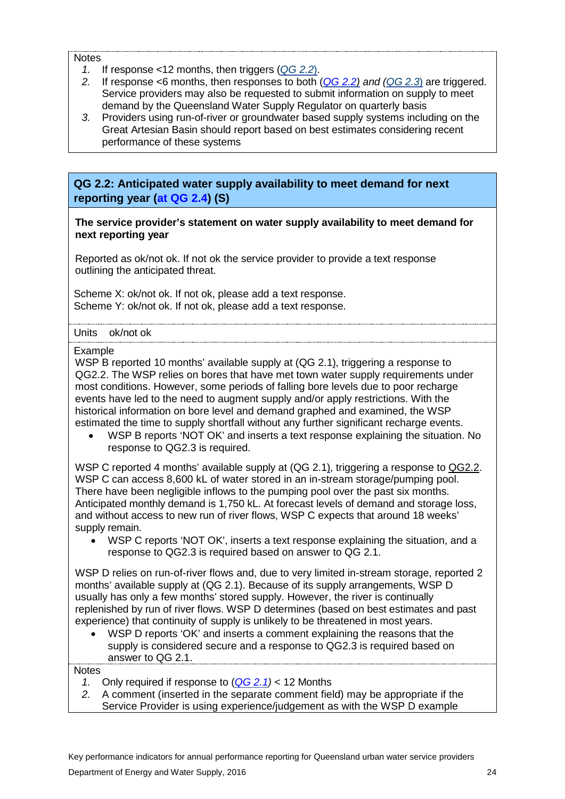#### Notes

- *1.* If response <12 months, then triggers (*[QG](#page-25-0) 2.2*).
- *2.* If response <6 months, then responses to both (*QG [2.2\)](#page-25-0) and [\(QG 2.3](#page-26-0)*) are triggered. Service providers may also be requested to submit information on supply to meet demand by the Queensland Water Supply Regulator on quarterly basis
- *3.* Providers using run-of-river or groundwater based supply systems including on the Great Artesian Basin should report based on best estimates considering recent performance of these systems

<span id="page-25-0"></span>**QG 2.2: Anticipated water supply availability to meet demand for next reporting year (at QG 2.4) (S)**

**The service provider's statement on water supply availability to meet demand for next reporting year** 

Reported as ok/not ok. If not ok the service provider to provide a text response outlining the anticipated threat.

Scheme X: ok/not ok. If not ok, please add a text response. Scheme Y: ok/not ok. If not ok, please add a text response.

#### Units ok/not ok

Example

WSP B reported 10 months' available supply at [\(QG](#page-24-1) 2.1), triggering a response to QG2.2. The WSP relies on bores that have met town water supply requirements under most conditions. However, some periods of falling bore levels due to poor recharge events have led to the need to augment supply and/or apply restrictions. With the historical information on bore level and demand graphed and examined, the WSP estimated the time to supply shortfall without any further significant recharge events.

• WSP B reports 'NOT OK' and inserts a text response explaining the situation. No response to QG2.3 is required.

WSP C reported 4 months' available supply at (QG 2.1), triggering a response to [QG2.2.](#page-25-0) WSP C can access 8,600 kL of water stored in an in-stream storage/pumping pool. There have been negligible inflows to the pumping pool over the past six months. Anticipated monthly demand is 1,750 kL. At forecast levels of demand and storage loss, and without access to new run of river flows, WSP C expects that around 18 weeks' supply remain.

• WSP C reports 'NOT OK', inserts a text response explaining the situation, and a response to QG2.3 is required based on answer to QG 2.1.

WSP D relies on run-of-river flows and, due to very limited in-stream storage, reported 2 months' available supply at (QG 2.1). Because of its supply arrangements, WSP D usually has only a few months' stored supply. However, the river is continually replenished by run of river flows. WSP D determines (based on best estimates and past experience) that continuity of supply is unlikely to be threatened in most years.

• WSP D reports 'OK' and inserts a comment explaining the reasons that the supply is considered secure and a response to QG2.3 is required based on answer to QG 2.1.

- *1.* Only required if response to (*QG [2.1\)](#page-24-1)* < 12 Months
- *2.* A comment (inserted in the separate comment field) may be appropriate if the Service Provider is using experience/judgement as with the WSP D example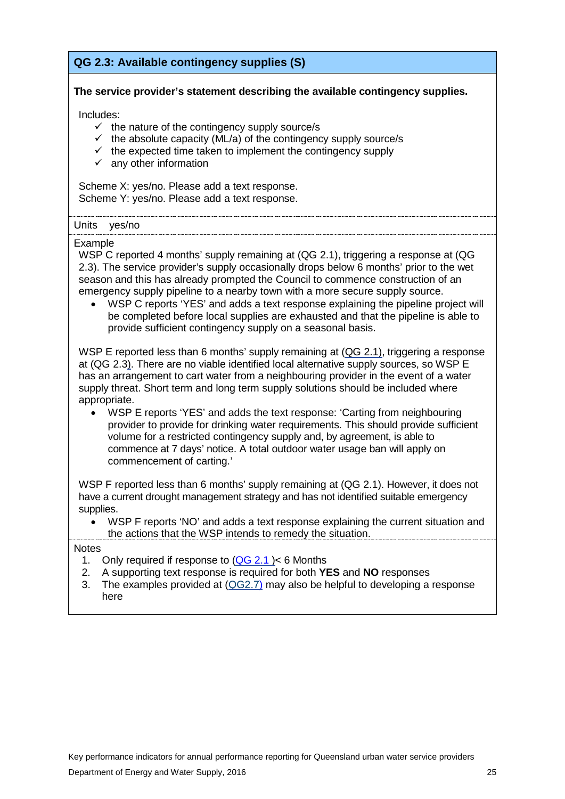# <span id="page-26-0"></span>**QG 2.3: Available contingency supplies (S)**

#### **The service provider's statement describing the available contingency supplies.**

Includes:

- $\checkmark$  the nature of the contingency supply source/s
- $\checkmark$  the absolute capacity (ML/a) of the contingency supply source/s
- $\checkmark$  the expected time taken to implement the contingency supply
- $\checkmark$  any other information

Scheme X: yes/no. Please add a text response. Scheme Y: yes/no. Please add a text response.

#### Units yes/no

#### Example

WSP C reported 4 months' supply remaining at (QG 2.1), triggering a response at (QG 2.3). The service provider's supply occasionally drops below 6 months' prior to the wet season and this has already prompted the Council to commence construction of an emergency supply pipeline to a nearby town with a more secure supply source.

• WSP C reports 'YES' and adds a text response explaining the pipeline project will be completed before local supplies are exhausted and that the pipeline is able to provide sufficient contingency supply on a seasonal basis.

WSP E reported less than 6 months' supply remaining at (QG 2.1), triggering a response at (QG 2.3). There are no viable identified local alternative supply sources, so WSP E has an arrangement to cart water from a neighbouring provider in the event of a water supply threat. Short term and long term supply solutions should be included where appropriate.

• WSP E reports 'YES' and adds the text response: 'Carting from neighbouring provider to provide for drinking water requirements. This should provide sufficient volume for a restricted contingency supply and, by agreement, is able to commence at 7 days' notice. A total outdoor water usage ban will apply on commencement of carting.'

WSP F reported less than 6 months' supply remaining at (QG 2.1). However, it does not have a current drought management strategy and has not identified suitable emergency supplies.

• WSP F reports 'NO' and adds a text response explaining the current situation and the actions that the WSP intends to remedy the situation.

- 1. Only required if response to [\(QG](#page-24-1) 2.1 )< 6 Months
- 2. A supporting text response is required for both **YES** and **NO** responses
- 3. The examples provided at  $(QG2.7)$  may also be helpful to developing a response here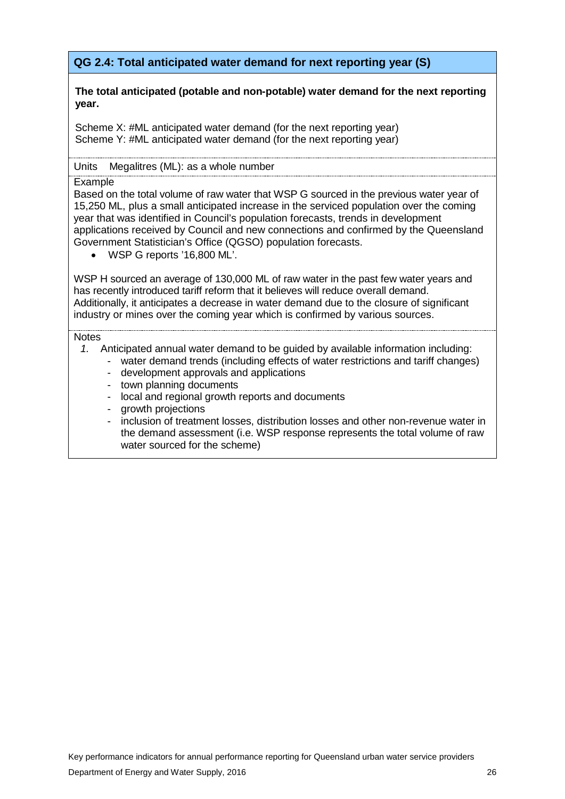# <span id="page-27-0"></span>**QG 2.4: Total anticipated water demand for next reporting year (S)**

#### **The total anticipated (potable and non-potable) water demand for the next reporting year.**

Scheme X: #ML anticipated water demand (for the next reporting year) Scheme Y: #ML anticipated water demand (for the next reporting year)

#### Units Megalitres (ML): as a whole number

#### Example

Based on the total volume of raw water that WSP G sourced in the previous water year of 15,250 ML, plus a small anticipated increase in the serviced population over the coming year that was identified in Council's population forecasts, trends in development applications received by Council and new connections and confirmed by the Queensland Government Statistician's Office (QGSO) population forecasts.

• WSP G reports '16,800 ML'.

WSP H sourced an average of 130,000 ML of raw water in the past few water years and has recently introduced tariff reform that it believes will reduce overall demand. Additionally, it anticipates a decrease in water demand due to the closure of significant industry or mines over the coming year which is confirmed by various sources.

- *1.* Anticipated annual water demand to be guided by available information including:
	- water demand trends (including effects of water restrictions and tariff changes)
		- development approvals and applications
		- town planning documents
		- local and regional growth reports and documents
		- growth projections
		- inclusion of treatment losses, distribution losses and other non-revenue water in the demand assessment (i.e. WSP response represents the total volume of raw water sourced for the scheme)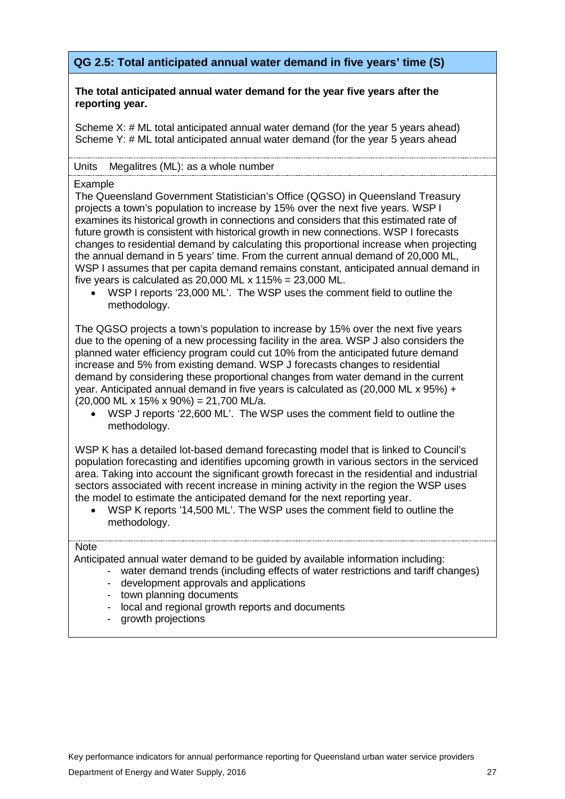# <span id="page-28-0"></span>**QG 2.5: Total anticipated annual water demand in five years' time (S)**

#### **The total anticipated annual water demand for the year five years after the reporting year.**

Scheme X: # ML total anticipated annual water demand (for the year 5 years ahead) Scheme Y: # ML total anticipated annual water demand (for the year 5 years ahead

#### Units Megalitres (ML): as a whole number

#### Example

The Queensland Government Statistician's Office (QGSO) in Queensland Treasury projects a town's population to increase by 15% over the next five years. WSP I examines its historical growth in connections and considers that this estimated rate of future growth is consistent with historical growth in new connections. WSP I forecasts changes to residential demand by calculating this proportional increase when projecting the annual demand in 5 years' time. From the current annual demand of 20,000 ML, WSP I assumes that per capita demand remains constant, anticipated annual demand in five years is calculated as 20,000 ML  $\times$  115% = 23,000 ML.

• WSP I reports '23,000 ML'. The WSP uses the comment field to outline the methodology.

The QGSO projects a town's population to increase by 15% over the next five years due to the opening of a new processing facility in the area. WSP J also considers the planned water efficiency program could cut 10% from the anticipated future demand increase and 5% from existing demand. WSP J forecasts changes to residential demand by considering these proportional changes from water demand in the current year. Anticipated annual demand in five years is calculated as (20,000 ML x 95%) +  $(20,000 \text{ ML x } 15\% \times 90\%) = 21,700 \text{ ML/a}.$ 

• WSP J reports '22,600 ML'. The WSP uses the comment field to outline the methodology.

WSP K has a detailed lot-based demand forecasting model that is linked to Council's population forecasting and identifies upcoming growth in various sectors in the serviced area. Taking into account the significant growth forecast in the residential and industrial sectors associated with recent increase in mining activity in the region the WSP uses the model to estimate the anticipated demand for the next reporting year.

• WSP K reports '14,500 ML'. The WSP uses the comment field to outline the methodology.

#### **Note**

Anticipated annual water demand to be guided by available information including:

- water demand trends (including effects of water restrictions and tariff changes)
- development approvals and applications
- town planning documents
- local and regional growth reports and documents
- growth projections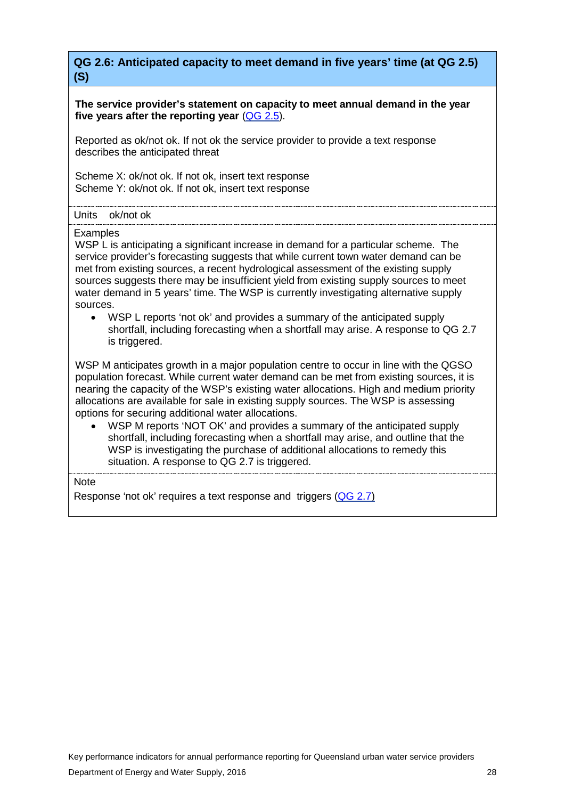<span id="page-29-0"></span>**QG 2.6: Anticipated capacity to meet demand in five years' time (at QG 2.5) (S)**

**The service provider's statement on capacity to meet annual demand in the year five years after the reporting year** [\(QG](#page-28-0) 2.5).

Reported as ok/not ok. If not ok the service provider to provide a text response describes the anticipated threat

Scheme X: ok/not ok. If not ok, insert text response Scheme Y: ok/not ok. If not ok, insert text response

Units ok/not ok

Examples

WSP L is anticipating a significant increase in demand for a particular scheme. The service provider's forecasting suggests that while current town water demand can be met from existing sources, a recent hydrological assessment of the existing supply sources suggests there may be insufficient yield from existing supply sources to meet water demand in 5 years' time. The WSP is currently investigating alternative supply sources.

• WSP L reports 'not ok' and provides a summary of the anticipated supply shortfall, including forecasting when a shortfall may arise. A response to QG 2.7 is triggered.

WSP M anticipates growth in a major population centre to occur in line with the QGSO population forecast. While current water demand can be met from existing sources, it is nearing the capacity of the WSP's existing water allocations. High and medium priority allocations are available for sale in existing supply sources. The WSP is assessing options for securing additional water allocations.

• WSP M reports 'NOT OK' and provides a summary of the anticipated supply shortfall, including forecasting when a shortfall may arise, and outline that the WSP is investigating the purchase of additional allocations to remedy this situation. A response to QG 2.7 is triggered.

**Note** 

Response 'not ok' requires a text response and triggers [\(QG](#page-30-0) 2.7)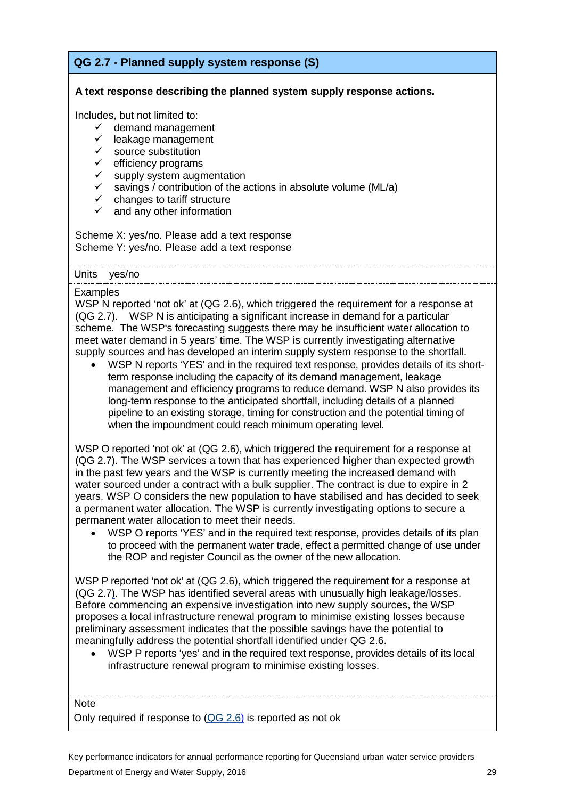# <span id="page-30-0"></span>**QG 2.7 - Planned supply system response (S)**

#### **A text response describing the planned system supply response actions.**

Includes, but not limited to:

- $\checkmark$  demand management
- $\checkmark$  leakage management
- $\checkmark$  source substitution
- 
- $\checkmark$  efficiency programs<br> $\checkmark$  supply system augn
- $\checkmark$  supply system augmentation<br> $\checkmark$  savings / contribution of the a savings / contribution of the actions in absolute volume (ML/a)
- $\checkmark$  changes to tariff structure
- $\checkmark$  and any other information

Scheme X: yes/no. Please add a text response Scheme Y: yes/no. Please add a text response

Units yes/no

#### **Examples**

WSP N reported 'not ok' at (QG 2.6), which triggered the requirement for a response at (QG 2.7). WSP N is anticipating a significant increase in demand for a particular scheme. The WSP's forecasting suggests there may be insufficient water allocation to meet water demand in 5 years' time. The WSP is currently investigating alternative supply sources and has developed an interim supply system response to the shortfall.

• WSP N reports 'YES' and in the required text response, provides details of its shortterm response including the capacity of its demand management, leakage management and efficiency programs to reduce demand. WSP N also provides its long-term response to the anticipated shortfall, including details of a planned pipeline to an existing storage, timing for construction and the potential timing of when the impoundment could reach minimum operating level.

WSP O reported 'not ok' at (QG 2.6), which triggered the requirement for a response at (QG 2.7). The WSP services a town that has experienced higher than expected growth in the past few years and the WSP is currently meeting the increased demand with water sourced under a contract with a bulk supplier. The contract is due to expire in 2 years. WSP O considers the new population to have stabilised and has decided to seek a permanent water allocation. The WSP is currently investigating options to secure a permanent water allocation to meet their needs.

• WSP O reports 'YES' and in the required text response, provides details of its plan to proceed with the permanent water trade, effect a permitted change of use under the ROP and register Council as the owner of the new allocation.

WSP P reported 'not ok' at (QG 2.6), which triggered the requirement for a response at (QG 2.7). The WSP has identified several areas with unusually high leakage/losses. Before commencing an expensive investigation into new supply sources, the WSP proposes a local infrastructure renewal program to minimise existing losses because preliminary assessment indicates that the possible savings have the potential to meaningfully address the potential shortfall identified under QG 2.6.

• WSP P reports 'yes' and in the required text response, provides details of its local infrastructure renewal program to minimise existing losses.

**Note** 

Only required if response to [\(QG](#page-29-0) 2.6) is reported as not ok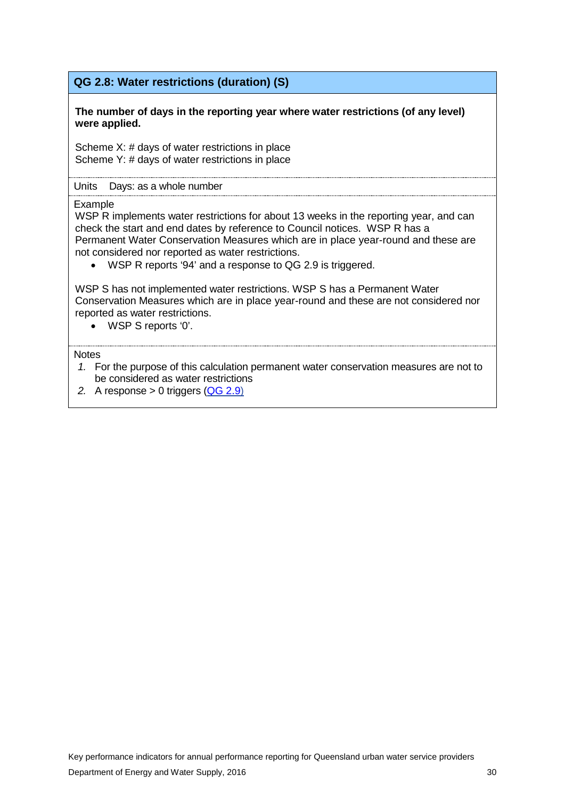## **QG 2.8: Water restrictions (duration) (S)**

#### **The number of days in the reporting year where water restrictions (of any level) were applied.**

Scheme X: # days of water restrictions in place Scheme Y: # days of water restrictions in place

#### Units Days: as a whole number

#### Example

WSP R implements water restrictions for about 13 weeks in the reporting year, and can check the start and end dates by reference to Council notices. WSP R has a Permanent Water Conservation Measures which are in place year-round and these are not considered nor reported as water restrictions.

• WSP R reports '94' and a response to QG 2.9 is triggered.

WSP S has not implemented water restrictions. WSP S has a Permanent Water Conservation Measures which are in place year-round and these are not considered nor reported as water restrictions.

• WSP S reports '0'.

- *1.* For the purpose of this calculation permanent water conservation measures are not to be considered as water restrictions
- *2.* A response > 0 triggers [\(QG](#page-32-0) 2.9)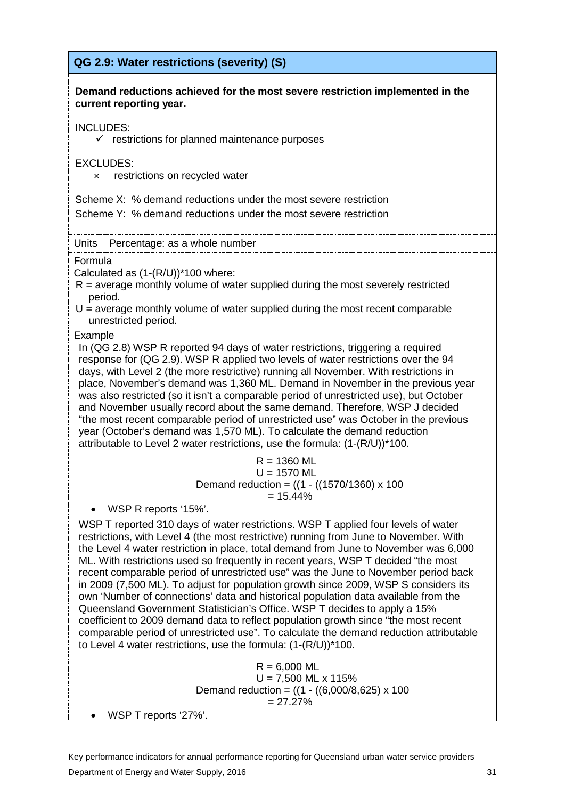# <span id="page-32-0"></span>**QG 2.9: Water restrictions (severity) (S)**

#### **Demand reductions achieved for the most severe restriction implemented in the current reporting year.**

#### INCLUDES:

 $\checkmark$  restrictions for planned maintenance purposes

#### EXCLUDES:

× restrictions on recycled water

Scheme X: % demand reductions under the most severe restriction Scheme Y: % demand reductions under the most severe restriction

Units Percentage: as a whole number

Formula

Calculated as (1-(R/U))\*100 where:

 $R$  = average monthly volume of water supplied during the most severely restricted period.

 $U =$  average monthly volume of water supplied during the most recent comparable unrestricted period.

#### Example

In (QG 2.8) WSP R reported 94 days of water restrictions, triggering a required response for (QG 2.9). WSP R applied two levels of water restrictions over the 94 days, with Level 2 (the more restrictive) running all November. With restrictions in place, November's demand was 1,360 ML. Demand in November in the previous year was also restricted (so it isn't a comparable period of unrestricted use), but October and November usually record about the same demand. Therefore, WSP J decided "the most recent comparable period of unrestricted use" was October in the previous year (October's demand was 1,570 ML). To calculate the demand reduction attributable to Level 2 water restrictions, use the formula: (1-(R/U))\*100.

#### $R = 1360$  ML  $U = 1570$  ML Demand reduction =  $((1 - ((1570/1360) \times 100$  $= 15.44%$

• WSP R reports '15%'.

WSP T reported 310 days of water restrictions. WSP T applied four levels of water restrictions, with Level 4 (the most restrictive) running from June to November. With the Level 4 water restriction in place, total demand from June to November was 6,000 ML. With restrictions used so frequently in recent years, WSP T decided "the most recent comparable period of unrestricted use" was the June to November period back in 2009 (7,500 ML). To adjust for population growth since 2009, WSP S considers its own 'Number of connections' data and historical population data available from the Queensland Government Statistician's Office. WSP T decides to apply a 15% coefficient to 2009 demand data to reflect population growth since "the most recent comparable period of unrestricted use". To calculate the demand reduction attributable to Level 4 water restrictions, use the formula: (1-(R/U))\*100.

> $R = 6,000$  ML  $U = 7,500$  ML x 115% Demand reduction =  $((1 - ((6,000/8,625) \times 100$  $= 27.27\%$

• WSP T reports '27%'.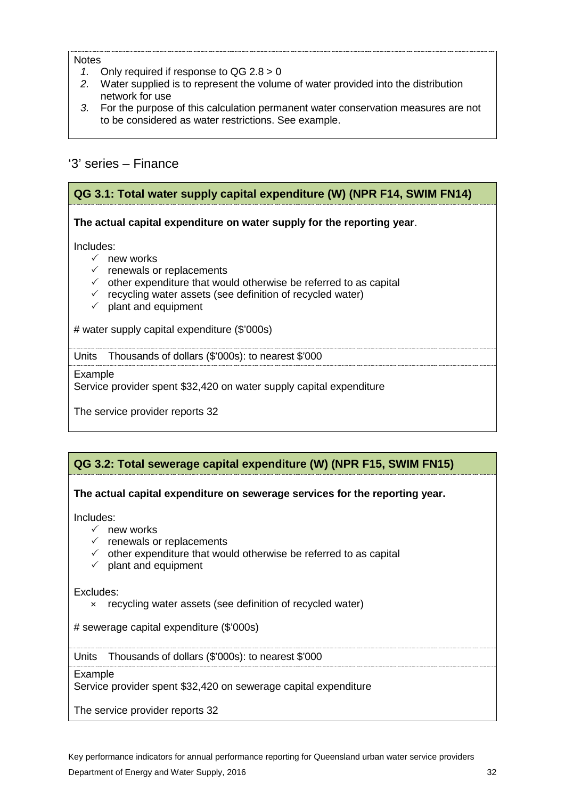#### **Notes**

- *1.* Only required if response to QG 2.8 > 0
- *2.* Water supplied is to represent the volume of water provided into the distribution network for use
- *3.* For the purpose of this calculation permanent water conservation measures are not to be considered as water restrictions. See example.

# <span id="page-33-0"></span>'3' series – Finance

### <span id="page-33-1"></span>**QG 3.1: Total water supply capital expenditure (W) (NPR F14, SWIM FN14)**

**The actual capital expenditure on water supply for the reporting year**.

Includes:

- $\checkmark$  new works
- $\checkmark$  renewals or replacements
- $\checkmark$  other expenditure that would otherwise be referred to as capital
- $\checkmark$  recycling water assets (see definition of recycled water)
- $\checkmark$  plant and equipment

# water supply capital expenditure (\$'000s)

Units Thousands of dollars (\$'000s): to nearest \$'000

#### Example

Service provider spent \$32,420 on water supply capital expenditure

The service provider reports 32

# <span id="page-33-2"></span>**QG 3.2: Total sewerage capital expenditure (W) (NPR F15, SWIM FN15)**

#### **The actual capital expenditure on sewerage services for the reporting year.**

Includes:

- $\checkmark$  new works
- $\checkmark$  renewals or replacements
- $\checkmark$  other expenditure that would otherwise be referred to as capital
- $\checkmark$  plant and equipment

Excludes:

× recycling water assets (see definition of recycled water)

# sewerage capital expenditure (\$'000s)

Units Thousands of dollars (\$'000s): to nearest \$'000

#### Example

Service provider spent \$32,420 on sewerage capital expenditure

The service provider reports 32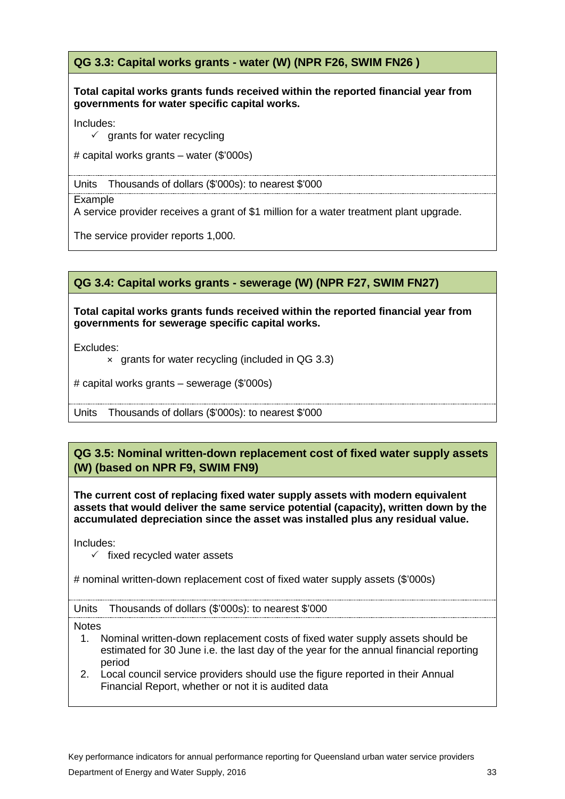# **QG 3.3: Capital works grants - water (W) (NPR F26, SWIM FN26 )**

#### **Total capital works grants funds received within the reported financial year from governments for water specific capital works.**

Includes:

 $\checkmark$  grants for water recycling

# capital works grants – water (\$'000s)

Units Thousands of dollars (\$'000s): to nearest \$'000

Example

A service provider receives a grant of \$1 million for a water treatment plant upgrade.

The service provider reports 1,000.

## **QG 3.4: Capital works grants - sewerage (W) (NPR F27, SWIM FN27)**

**Total capital works grants funds received within the reported financial year from governments for sewerage specific capital works.**

Excludes:

× grants for water recycling (included in QG 3.3)

# capital works grants – sewerage (\$'000s)

Units Thousands of dollars (\$'000s): to nearest \$'000

# **QG 3.5: Nominal written-down replacement cost of fixed water supply assets (W) (based on NPR F9, SWIM FN9)**

**The current cost of replacing fixed water supply assets with modern equivalent assets that would deliver the same service potential (capacity), written down by the accumulated depreciation since the asset was installed plus any residual value.** 

Includes:

 $\checkmark$  fixed recycled water assets

# nominal written-down replacement cost of fixed water supply assets (\$'000s)

Units Thousands of dollars (\$'000s): to nearest \$'000

- 1. Nominal written-down replacement costs of fixed water supply assets should be estimated for 30 June i.e. the last day of the year for the annual financial reporting period
- 2. Local council service providers should use the figure reported in their Annual Financial Report, whether or not it is audited data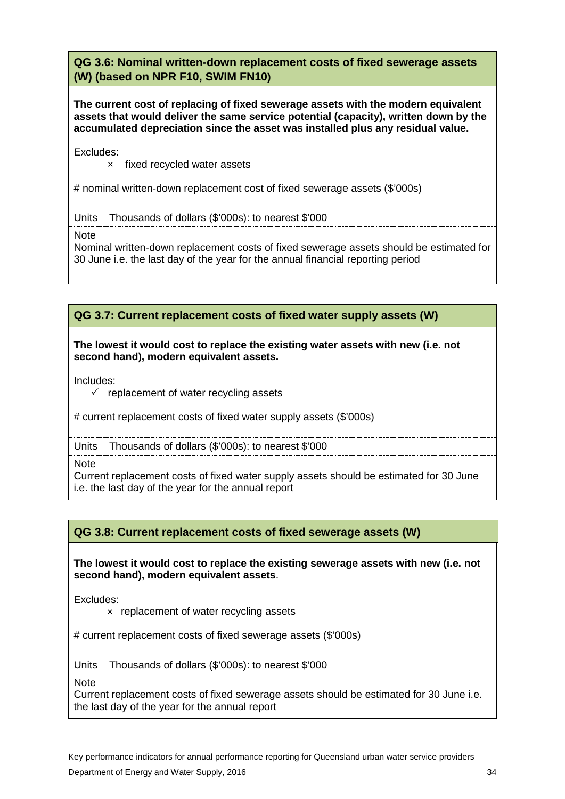## **QG 3.6: Nominal written-down replacement costs of fixed sewerage assets (W) (based on NPR F10, SWIM FN10)**

**The current cost of replacing of fixed sewerage assets with the modern equivalent assets that would deliver the same service potential (capacity), written down by the accumulated depreciation since the asset was installed plus any residual value.**

Excludes:

× fixed recycled water assets

# nominal written-down replacement cost of fixed sewerage assets (\$'000s)

Units Thousands of dollars (\$'000s): to nearest \$'000

**Note** 

Nominal written-down replacement costs of fixed sewerage assets should be estimated for 30 June i.e. the last day of the year for the annual financial reporting period

### **QG 3.7: Current replacement costs of fixed water supply assets (W)**

#### **The lowest it would cost to replace the existing water assets with new (i.e. not second hand), modern equivalent assets.**

Includes:

 $\checkmark$  replacement of water recycling assets

# current replacement costs of fixed water supply assets (\$'000s)

Units Thousands of dollars (\$'000s): to nearest \$'000

**Note** 

Current replacement costs of fixed water supply assets should be estimated for 30 June i.e. the last day of the year for the annual report

#### **QG 3.8: Current replacement costs of fixed sewerage assets (W)**

**The lowest it would cost to replace the existing sewerage assets with new (i.e. not second hand), modern equivalent assets**.

Excludes:

× replacement of water recycling assets

# current replacement costs of fixed sewerage assets (\$'000s)

Units Thousands of dollars (\$'000s): to nearest \$'000

**Note** 

Current replacement costs of fixed sewerage assets should be estimated for 30 June i.e. the last day of the year for the annual report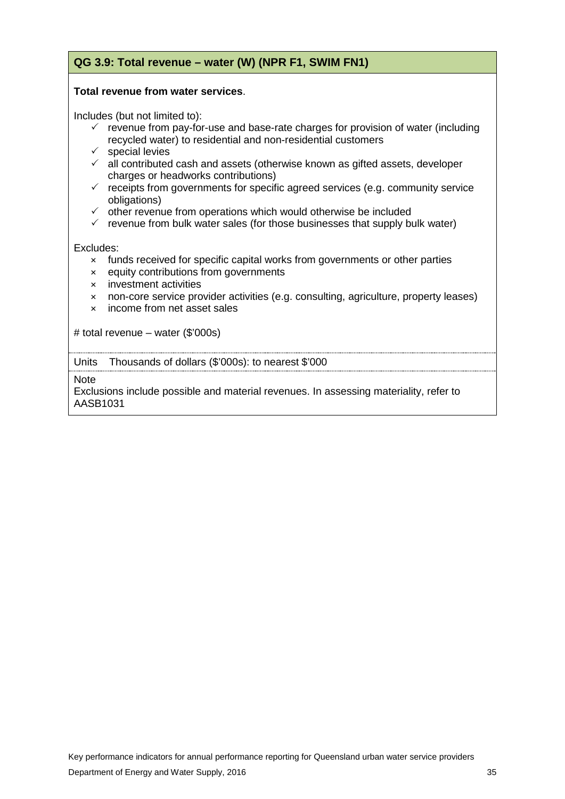# **QG 3.9: Total revenue – water (W) (NPR F1, SWIM FN1)**

#### **Total revenue from water services**.

Includes (but not limited to):

- $\checkmark$  revenue from pay-for-use and base-rate charges for provision of water (including recycled water) to residential and non-residential customers
- $\checkmark$  special levies
- $\checkmark$  all contributed cash and assets (otherwise known as gifted assets, developer charges or headworks contributions)
- $\checkmark$  receipts from governments for specific agreed services (e.g. community service obligations)
- $\checkmark$  other revenue from operations which would otherwise be included
- $\checkmark$  revenue from bulk water sales (for those businesses that supply bulk water)

Excludes:

- × funds received for specific capital works from governments or other parties
- × equity contributions from governments
- × investment activities
- × non-core service provider activities (e.g. consulting, agriculture, property leases)
- × income from net asset sales

# total revenue – water (\$'000s)

Units Thousands of dollars (\$'000s): to nearest \$'000

**Note** 

Exclusions include possible and material revenues. In assessing materiality, refer to AASB1031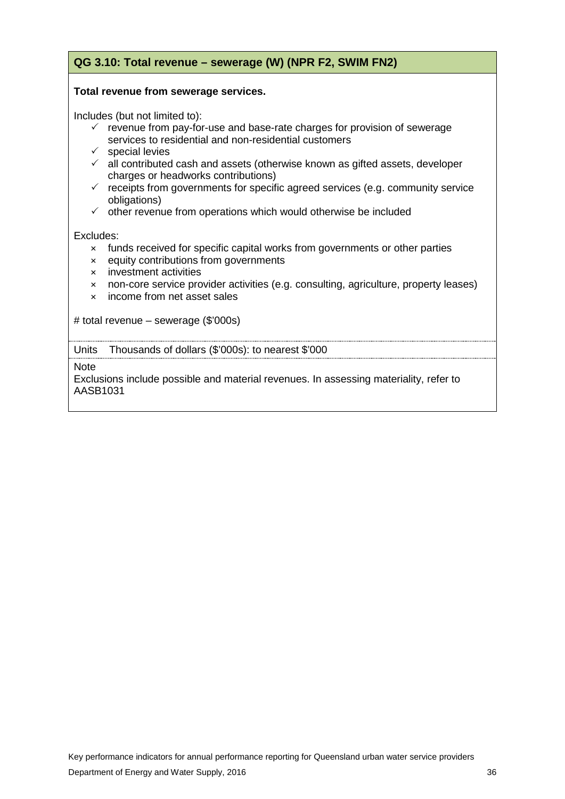# **QG 3.10: Total revenue – sewerage (W) (NPR F2, SWIM FN2)**

#### **Total revenue from sewerage services.**

Includes (but not limited to):

- $\checkmark$  revenue from pay-for-use and base-rate charges for provision of sewerage services to residential and non-residential customers
- $\checkmark$  special levies
- $\checkmark$  all contributed cash and assets (otherwise known as gifted assets, developer charges or headworks contributions)
- $\checkmark$  receipts from governments for specific agreed services (e.g. community service obligations)
- $\checkmark$  other revenue from operations which would otherwise be included

#### Excludes:

- × funds received for specific capital works from governments or other parties
- × equity contributions from governments
- × investment activities
- × non-core service provider activities (e.g. consulting, agriculture, property leases)
- × income from net asset sales

# total revenue – sewerage (\$'000s)

Units Thousands of dollars (\$'000s): to nearest \$'000

**Note** 

Exclusions include possible and material revenues. In assessing materiality, refer to AASB1031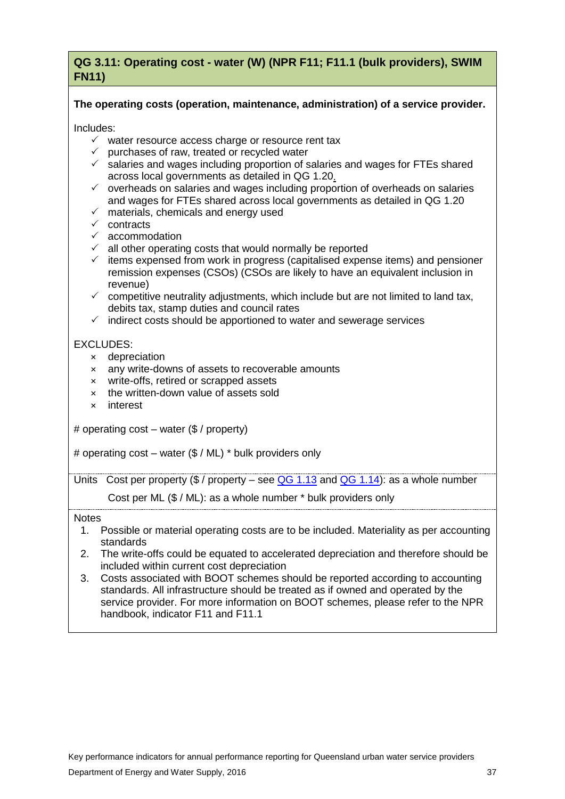# <span id="page-38-0"></span>**QG 3.11: Operating cost - water (W) (NPR F11; F11.1 (bulk providers), SWIM FN11)**

### **The operating costs (operation, maintenance, administration) of a service provider.**

Includes:

- $\checkmark$  water resource access charge or resource rent tax
- $\checkmark$  purchases of raw, treated or recycled water
- $\checkmark$  salaries and wages including proportion of salaries and wages for FTEs shared across local governments as detailed in [QG 1.20.](#page-23-0)
- $\checkmark$  overheads on salaries and wages including proportion of overheads on salaries and wages for FTEs shared across local governments as detailed in [QG 1.20](#page-23-0)
- $\times$  materials, chemicals and energy used
- $\checkmark$  contracts
- $\times$  accommodation
- $\checkmark$  all other operating costs that would normally be reported
- $\checkmark$  items expensed from work in progress (capitalised expense items) and pensioner remission expenses (CSOs) (CSOs are likely to have an equivalent inclusion in revenue)
- $\checkmark$  competitive neutrality adjustments, which include but are not limited to land tax, debits tax, stamp duties and council rates
- $\checkmark$  indirect costs should be apportioned to water and sewerage services

### EXCLUDES:

- × depreciation
- × any write-downs of assets to recoverable amounts
- × write-offs, retired or scrapped assets
- × the written-down value of assets sold
- × interest

# operating cost – water (\$ / property)

# operating cost – water (\$ / ML) \* bulk providers only

Units Cost per property (\$ / property – see  $QG$  1.13 and  $QG$  1.14): as a whole number

Cost per ML (\$ / ML): as a whole number \* bulk providers only

- 1. Possible or material operating costs are to be included. Materiality as per accounting standards
- 2. The write-offs could be equated to accelerated depreciation and therefore should be included within current cost depreciation
- 3. Costs associated with BOOT schemes should be reported according to accounting standards. All infrastructure should be treated as if owned and operated by the service provider. For more information on BOOT schemes, please refer to the NPR handbook, indicator F11 and F11.1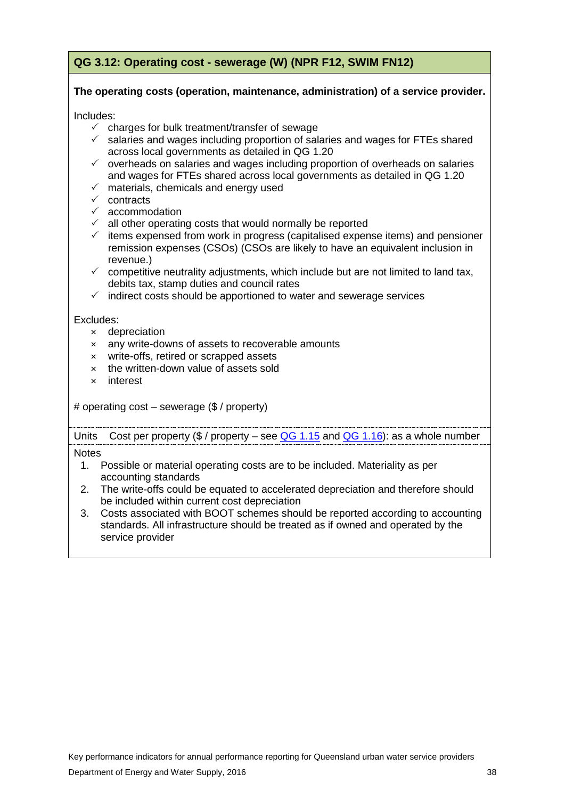# <span id="page-39-0"></span>**QG 3.12: Operating cost - sewerage (W) (NPR F12, SWIM FN12)**

### **The operating costs (operation, maintenance, administration) of a service provider.**

Includes:

- $\checkmark$  charges for bulk treatment/transfer of sewage
- $\checkmark$  salaries and wages including proportion of salaries and wages for FTEs shared across local governments as detailed in [QG 1.20](#page-23-0)
- $\checkmark$  overheads on salaries and wages including proportion of overheads on salaries and wages for FTEs shared across local governments as detailed in [QG 1.20](#page-23-0)
- $\checkmark$  materials, chemicals and energy used
- $\checkmark$  contracts
- $\checkmark$  accommodation
- $\checkmark$  all other operating costs that would normally be reported
- $\checkmark$  items expensed from work in progress (capitalised expense items) and pensioner remission expenses (CSOs) (CSOs are likely to have an equivalent inclusion in revenue.)
- $\checkmark$  competitive neutrality adjustments, which include but are not limited to land tax, debits tax, stamp duties and council rates
- $\checkmark$  indirect costs should be apportioned to water and sewerage services

Excludes:

- × depreciation
- × any write-downs of assets to recoverable amounts
- × write-offs, retired or scrapped assets
- × the written-down value of assets sold
- × interest

# operating cost – sewerage (\$ / property)

Units Cost per property  $(\frac{6}{9}$  / property – see [QG 1.15](#page-18-0) and [QG 1.16\)](#page-19-0): as a whole number

- 1. Possible or material operating costs are to be included. Materiality as per accounting standards
- 2. The write-offs could be equated to accelerated depreciation and therefore should be included within current cost depreciation
- 3. Costs associated with BOOT schemes should be reported according to accounting standards. All infrastructure should be treated as if owned and operated by the service provider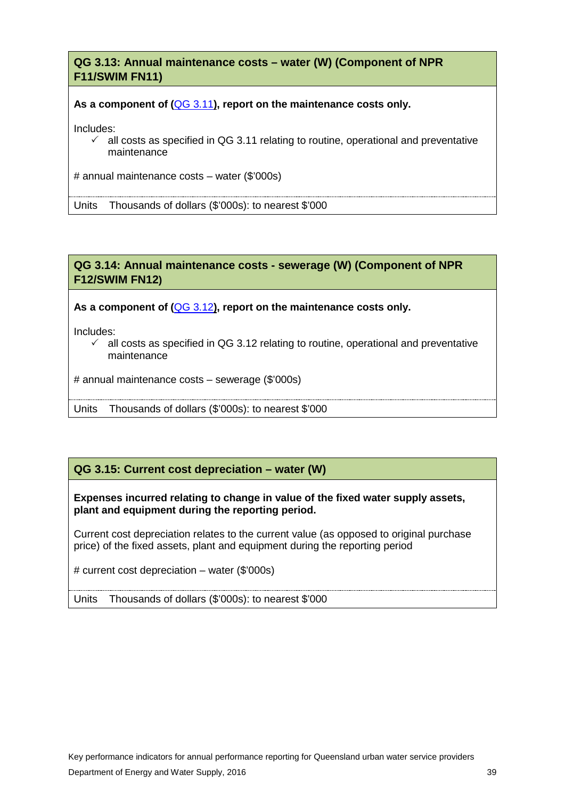**QG 3.13: Annual maintenance costs – water (W) (Component of NPR F11/SWIM FN11)**

**As a component of (**[QG 3.11](#page-38-0)**), report on the maintenance costs only.** 

Includes:

 $\checkmark$  all costs as specified in [QG 3.11](#page-38-0) relating to routine, operational and preventative maintenance

# annual maintenance costs – water (\$'000s)

Units Thousands of dollars (\$'000s): to nearest \$'000

#### **QG 3.14: Annual maintenance costs - sewerage (W) (Component of NPR F12/SWIM FN12)**

**As a component of (**[QG 3.12](#page-39-0)**), report on the maintenance costs only.**

Includes:

 $\checkmark$  all costs as specified in [QG 3.12](#page-39-0) relating to routine, operational and preventative maintenance

# annual maintenance costs – sewerage (\$'000s)

Units Thousands of dollars (\$'000s): to nearest \$'000

### **QG 3.15: Current cost depreciation – water (W)**

**Expenses incurred relating to change in value of the fixed water supply assets, plant and equipment during the reporting period.** 

Current cost depreciation relates to the current value (as opposed to original purchase price) of the fixed assets, plant and equipment during the reporting period

# current cost depreciation – water (\$'000s)

Units Thousands of dollars (\$'000s): to nearest \$'000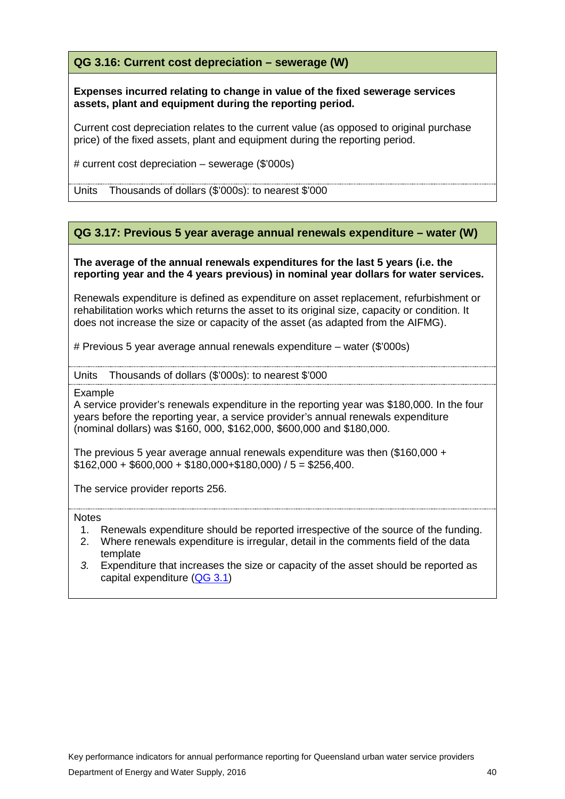**QG 3.16: Current cost depreciation – sewerage (W)**

**Expenses incurred relating to change in value of the fixed sewerage services assets, plant and equipment during the reporting period.** 

Current cost depreciation relates to the current value (as opposed to original purchase price) of the fixed assets, plant and equipment during the reporting period.

# current cost depreciation – sewerage (\$'000s)

Units Thousands of dollars (\$'000s): to nearest \$'000

#### **QG 3.17: Previous 5 year average annual renewals expenditure – water (W)**

#### **The average of the annual renewals expenditures for the last 5 years (i.e. the reporting year and the 4 years previous) in nominal year dollars for water services.**

Renewals expenditure is defined as expenditure on asset replacement, refurbishment or rehabilitation works which returns the asset to its original size, capacity or condition. It does not increase the size or capacity of the asset (as adapted from the AIFMG).

# Previous 5 year average annual renewals expenditure – water (\$'000s)

UnitsThousands of dollars (\$'000s): to nearest \$'000

Example

A service provider's renewals expenditure in the reporting year was \$180,000. In the four years before the reporting year, a service provider's annual renewals expenditure (nominal dollars) was \$160, 000, \$162,000, \$600,000 and \$180,000.

The previous 5 year average annual renewals expenditure was then (\$160,000 +  $$162,000 + $600,000 + $180,000 + $180,000) / 5 = $256,400.$ 

The service provider reports 256.

- 1. Renewals expenditure should be reported irrespective of the source of the funding.
- 2. Where renewals expenditure is irregular, detail in the comments field of the data template
- *3.* Expenditure that increases the size or capacity of the asset should be reported as capital expenditure [\(QG 3.1\)](#page-33-1)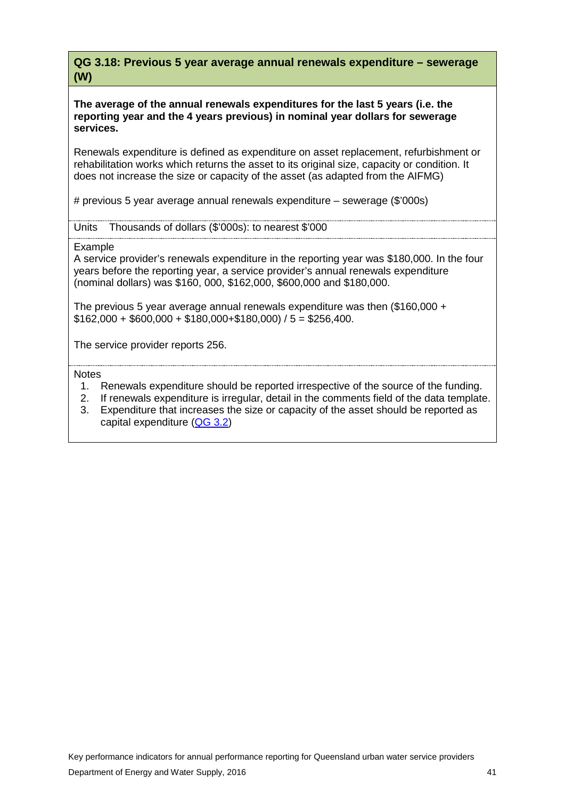**QG 3.18: Previous 5 year average annual renewals expenditure – sewerage (W)**

**The average of the annual renewals expenditures for the last 5 years (i.e. the reporting year and the 4 years previous) in nominal year dollars for sewerage services.** 

Renewals expenditure is defined as expenditure on asset replacement, refurbishment or rehabilitation works which returns the asset to its original size, capacity or condition. It does not increase the size or capacity of the asset (as adapted from the AIFMG)

# previous 5 year average annual renewals expenditure – sewerage (\$'000s)

Units Thousands of dollars (\$'000s): to nearest \$'000

Example

A service provider's renewals expenditure in the reporting year was \$180,000. In the four years before the reporting year, a service provider's annual renewals expenditure (nominal dollars) was \$160, 000, \$162,000, \$600,000 and \$180,000.

The previous 5 year average annual renewals expenditure was then (\$160,000 +  $$162,000 + $600,000 + $180,000 + $180,000) / 5 = $256,400.$ 

The service provider reports 256.

- 1. Renewals expenditure should be reported irrespective of the source of the funding.
- 2. If renewals expenditure is irregular, detail in the comments field of the data template.
- 3. Expenditure that increases the size or capacity of the asset should be reported as capital expenditure [\(QG 3.2\)](#page-33-2)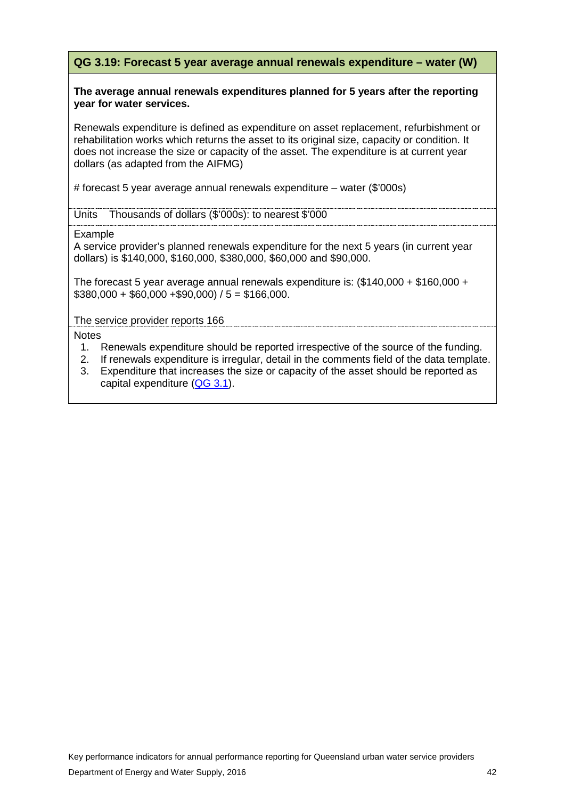### **QG 3.19: Forecast 5 year average annual renewals expenditure – water (W)**

#### **The average annual renewals expenditures planned for 5 years after the reporting year for water services.**

Renewals expenditure is defined as expenditure on asset replacement, refurbishment or rehabilitation works which returns the asset to its original size, capacity or condition. It does not increase the size or capacity of the asset. The expenditure is at current year dollars (as adapted from the AIFMG)

# forecast 5 year average annual renewals expenditure – water (\$'000s)

Units Thousands of dollars (\$'000s): to nearest \$'000

Example

A service provider's planned renewals expenditure for the next 5 years (in current year dollars) is \$140,000, \$160,000, \$380,000, \$60,000 and \$90,000.

The forecast 5 year average annual renewals expenditure is: (\$140,000 + \$160,000 +  $$380,000 + $60,000 + $90,000$  / 5 = \$166,000.

The service provider reports 166

- 1. Renewals expenditure should be reported irrespective of the source of the funding.
- 2. If renewals expenditure is irregular, detail in the comments field of the data template.
- 3. Expenditure that increases the size or capacity of the asset should be reported as capital expenditure [\(QG 3.1\)](#page-33-1).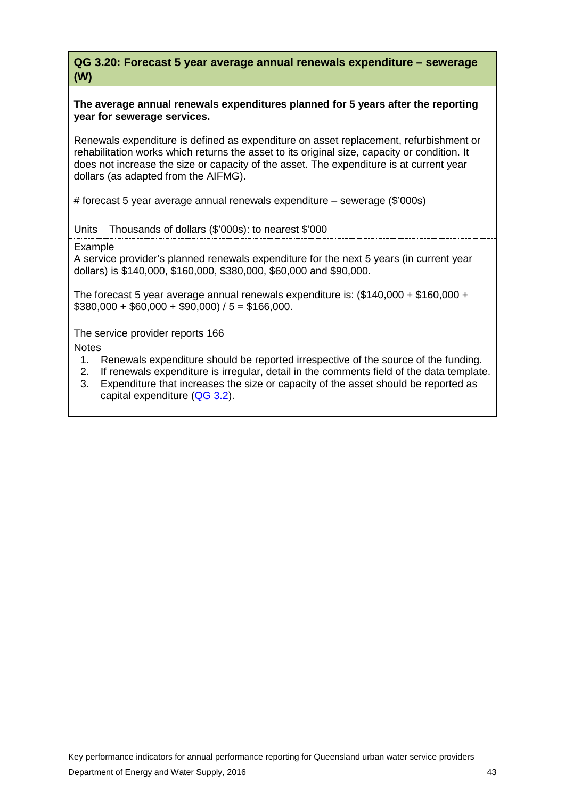**QG 3.20: Forecast 5 year average annual renewals expenditure – sewerage (W)**

#### **The average annual renewals expenditures planned for 5 years after the reporting year for sewerage services.**

Renewals expenditure is defined as expenditure on asset replacement, refurbishment or rehabilitation works which returns the asset to its original size, capacity or condition. It does not increase the size or capacity of the asset. The expenditure is at current year dollars (as adapted from the AIFMG).

# forecast 5 year average annual renewals expenditure – sewerage (\$'000s)

Units Thousands of dollars (\$'000s): to nearest \$'000

Example

A service provider's planned renewals expenditure for the next 5 years (in current year dollars) is \$140,000, \$160,000, \$380,000, \$60,000 and \$90,000.

The forecast 5 year average annual renewals expenditure is: (\$140,000 + \$160,000 +  $$380,000 + $60,000 + $90,000$  / 5 = \$166,000.

The service provider reports 166

- 1. Renewals expenditure should be reported irrespective of the source of the funding.
- 2. If renewals expenditure is irregular, detail in the comments field of the data template.
- 3. Expenditure that increases the size or capacity of the asset should be reported as capital expenditure [\(QG 3.2\)](#page-33-2).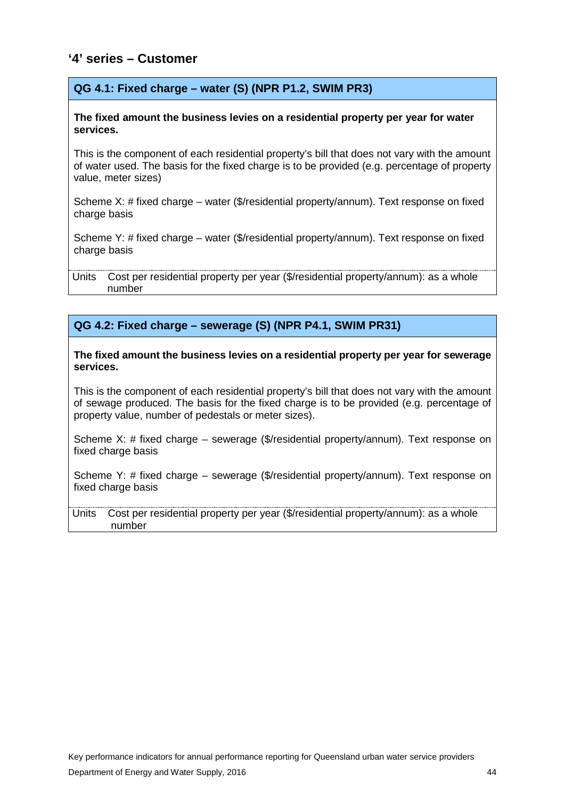# <span id="page-45-0"></span>**'4' series – Customer**

#### **QG 4.1: Fixed charge – water (S) (NPR P1.2, SWIM PR3)**

#### **The fixed amount the business levies on a residential property per year for water services.**

This is the component of each residential property's bill that does not vary with the amount of water used. The basis for the fixed charge is to be provided (e.g. percentage of property value, meter sizes)

Scheme X: # fixed charge – water (\$/residential property/annum). Text response on fixed charge basis

Scheme Y: # fixed charge – water (\$/residential property/annum). Text response on fixed charge basis

Units Cost per residential property per year (\$/residential property/annum): as a whole number

#### **QG 4.2: Fixed charge – sewerage (S) (NPR P4.1, SWIM PR31)**

**The fixed amount the business levies on a residential property per year for sewerage services.** 

This is the component of each residential property's bill that does not vary with the amount of sewage produced. The basis for the fixed charge is to be provided (e.g. percentage of property value, number of pedestals or meter sizes).

Scheme X: # fixed charge – sewerage (\$/residential property/annum). Text response on fixed charge basis

Scheme Y: # fixed charge – sewerage (\$/residential property/annum). Text response on fixed charge basis

Units Cost per residential property per year (\$/residential property/annum): as a whole number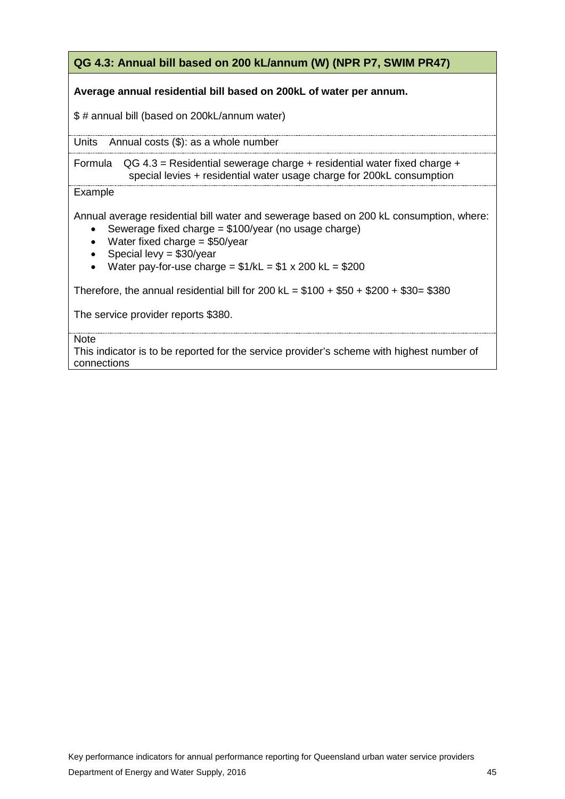# **QG 4.3: Annual bill based on 200 kL/annum (W) (NPR P7, SWIM PR47)**

#### **Average annual residential bill based on 200kL of water per annum.**

\$ # annual bill (based on 200kL/annum water)

Units Annual costs (\$): as a whole number

Formula  $QG 4.3$  = Residential sewerage charge + residential water fixed charge + special levies + residential water usage charge for 200kL consumption

#### **Example**

Annual average residential bill water and sewerage based on 200 kL consumption, where:

- Sewerage fixed charge  $= $100$ /year (no usage charge)
- Water fixed charge = \$50/year
- Special levy =  $$30/year$
- Water pay-for-use charge  $= $1/kL = $1 x 200 kL = $200$

Therefore, the annual residential bill for 200 kL =  $$100 + $50 + $200 + $30 = $380$ 

The service provider reports \$380.

**Note** 

This indicator is to be reported for the service provider's scheme with highest number of connections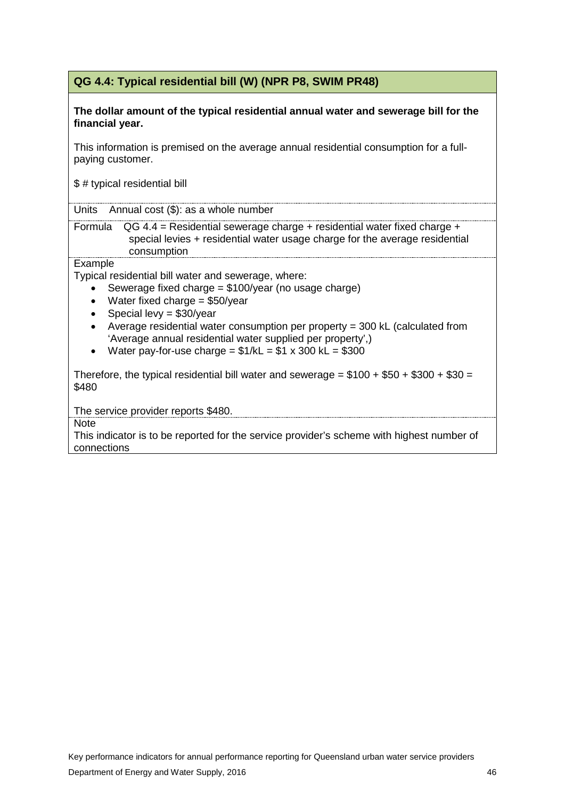# **QG 4.4: Typical residential bill (W) (NPR P8, SWIM PR48)**

**The dollar amount of the typical residential annual water and sewerage bill for the financial year.** 

This information is premised on the average annual residential consumption for a fullpaying customer.

\$ # typical residential bill

Units Annual cost (\$): as a whole number

Formula QG 4.4 = Residential sewerage charge + residential water fixed charge + special levies + residential water usage charge for the average residential consumption

Example

Typical residential bill water and sewerage, where:

- Sewerage fixed charge = \$100/year (no usage charge)
- Water fixed charge = \$50/year
- Special levy = \$30/year
- Average residential water consumption per property = 300 kL (calculated from 'Average annual residential water supplied per property',)
- Water pay-for-use charge  $= $1/kL = $1 \times 300 kL = $300$

Therefore, the typical residential bill water and sewerage =  $$100 + $50 + $300 + $30 =$ \$480

The service provider reports \$480.

**Note** 

This indicator is to be reported for the service provider's scheme with highest number of connections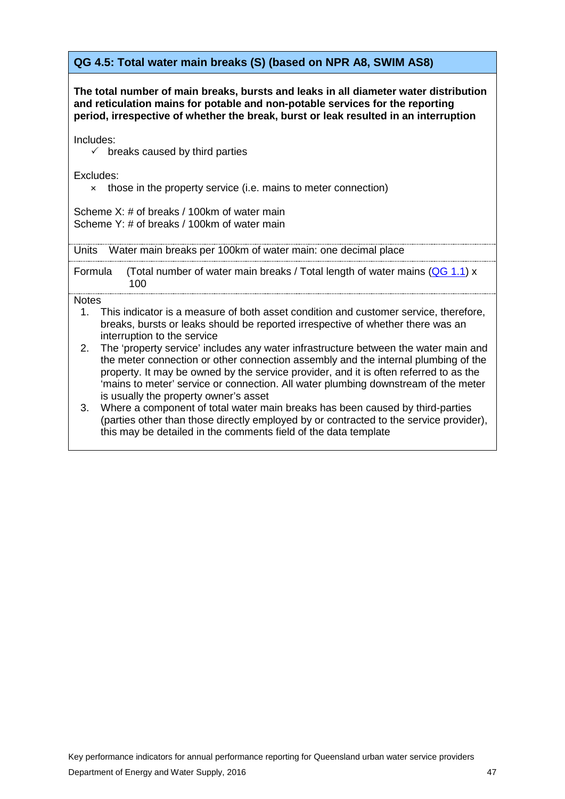# **QG 4.5: Total water main breaks (S) (based on NPR A8, SWIM AS8)**

**The total number of main breaks, bursts and leaks in all diameter water distribution and reticulation mains for potable and non-potable services for the reporting period, irrespective of whether the break, burst or leak resulted in an interruption**

Includes:

 $\checkmark$  breaks caused by third parties

Excludes:

× those in the property service (i.e. mains to meter connection)

Scheme X: # of breaks / 100km of water main Scheme Y: # of breaks / 100km of water main

Units Water main breaks per 100km of water main: one decimal place

Formula (Total number of water main breaks / Total length of water mains [\(QG 1.1\)](#page-9-2) x 100

- 1. This indicator is a measure of both asset condition and customer service, therefore, breaks, bursts or leaks should be reported irrespective of whether there was an interruption to the service
- 2. The 'property service' includes any water infrastructure between the water main and the meter connection or other connection assembly and the internal plumbing of the property. It may be owned by the service provider, and it is often referred to as the 'mains to meter' service or connection. All water plumbing downstream of the meter is usually the property owner's asset
- 3. Where a component of total water main breaks has been caused by third-parties (parties other than those directly employed by or contracted to the service provider), this may be detailed in the comments field of the data template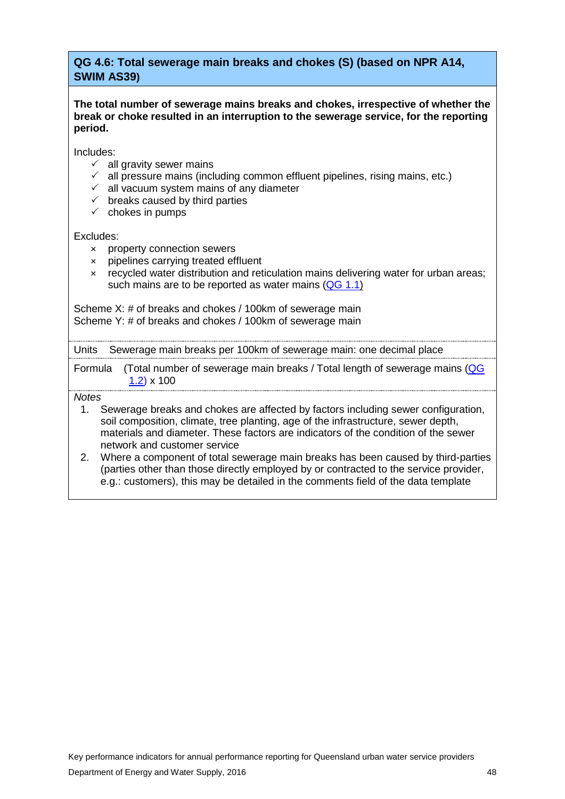### **QG 4.6: Total sewerage main breaks and chokes (S) (based on NPR A14, SWIM AS39)**

**The total number of sewerage mains breaks and chokes, irrespective of whether the break or choke resulted in an interruption to the sewerage service, for the reporting period.** 

Includes:

- $\checkmark$  all gravity sewer mains
- $\checkmark$  all pressure mains (including common effluent pipelines, rising mains, etc.)
- $\checkmark$  all vacuum system mains of any diameter
- $\checkmark$  breaks caused by third parties
- $\checkmark$  chokes in pumps

Excludes:

- × property connection sewers
- × pipelines carrying treated effluent
- × recycled water distribution and reticulation mains delivering water for urban areas; such mains are to be reported as water mains  $(QG 1.1)$

Scheme X: # of breaks and chokes / 100km of sewerage main Scheme Y: # of breaks and chokes / 100km of sewerage main

Units Sewerage main breaks per 100km of sewerage main: one decimal place

Formula (Total number of sewerage main breaks / Total length of sewerage mains [\(QG](#page-10-0)  [1.2\)](#page-10-0) x 100

- 1. Sewerage breaks and chokes are affected by factors including sewer configuration, soil composition, climate, tree planting, age of the infrastructure, sewer depth, materials and diameter. These factors are indicators of the condition of the sewer network and customer service
- 2. Where a component of total sewerage main breaks has been caused by third-parties (parties other than those directly employed by or contracted to the service provider, e.g.: customers), this may be detailed in the comments field of the data template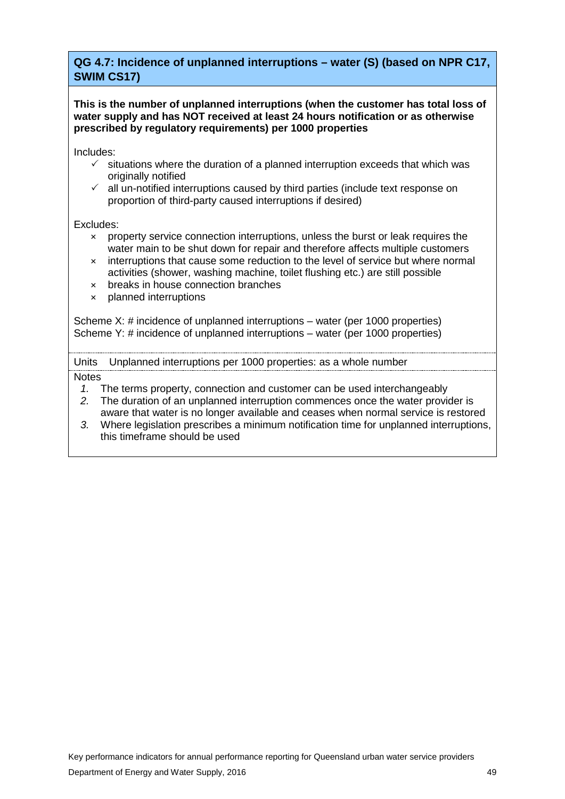# **QG 4.7: Incidence of unplanned interruptions – water (S) (based on NPR C17, SWIM CS17)**

**This is the number of unplanned interruptions (when the customer has total loss of water supply and has NOT received at least 24 hours notification or as otherwise prescribed by regulatory requirements) per 1000 properties** 

Includes:

- $\checkmark$  situations where the duration of a planned interruption exceeds that which was originally notified
- $\checkmark$  all un-notified interruptions caused by third parties (include text response on proportion of third-party caused interruptions if desired)

#### Excludes:

- × property service connection interruptions, unless the burst or leak requires the water main to be shut down for repair and therefore affects multiple customers
- × interruptions that cause some reduction to the level of service but where normal activities (shower, washing machine, toilet flushing etc.) are still possible
- × breaks in house connection branches
- × planned interruptions

Scheme X: # incidence of unplanned interruptions – water (per 1000 properties) Scheme Y: # incidence of unplanned interruptions – water (per 1000 properties)

Units Unplanned interruptions per 1000 properties: as a whole number

- *1.* The terms property, connection and customer can be used interchangeably
- *2.* The duration of an unplanned interruption commences once the water provider is aware that water is no longer available and ceases when normal service is restored
- *3.* Where legislation prescribes a minimum notification time for unplanned interruptions, this timeframe should be used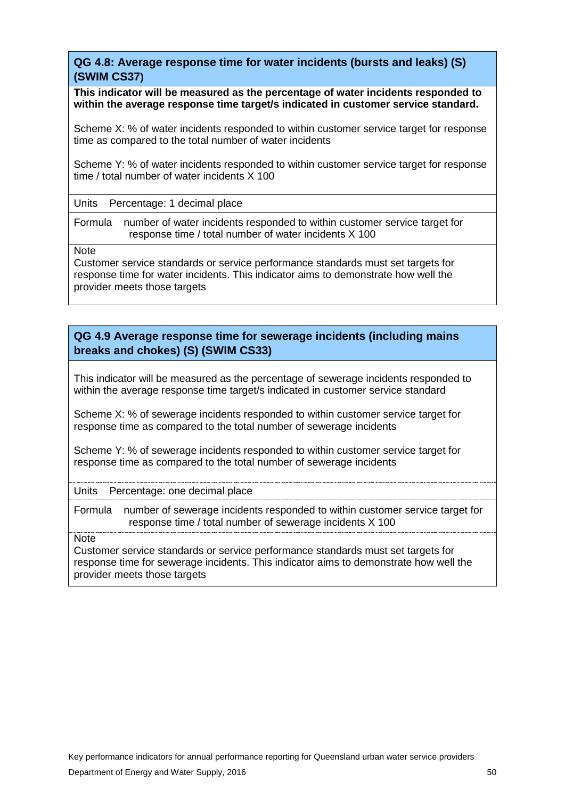**QG 4.8: Average response time for water incidents (bursts and leaks) (S) (SWIM CS37)**

**This indicator will be measured as the percentage of water incidents responded to within the average response time target/s indicated in customer service standard.** 

Scheme X: % of water incidents responded to within customer service target for response time as compared to the total number of water incidents

Scheme Y: % of water incidents responded to within customer service target for response time / total number of water incidents X 100

Units Percentage: 1 decimal place

Formula number of water incidents responded to within customer service target for response time / total number of water incidents X 100

**Note** 

Customer service standards or service performance standards must set targets for response time for water incidents. This indicator aims to demonstrate how well the provider meets those targets

## **QG 4.9 Average response time for sewerage incidents (including mains breaks and chokes) (S) (SWIM CS33)**

This indicator will be measured as the percentage of sewerage incidents responded to within the average response time target/s indicated in customer service standard

Scheme X: % of sewerage incidents responded to within customer service target for response time as compared to the total number of sewerage incidents

Scheme Y: % of sewerage incidents responded to within customer service target for response time as compared to the total number of sewerage incidents

Units Percentage: one decimal place

Formula number of sewerage incidents responded to within customer service target for response time / total number of sewerage incidents X 100

**Note** 

Customer service standards or service performance standards must set targets for response time for sewerage incidents. This indicator aims to demonstrate how well the provider meets those targets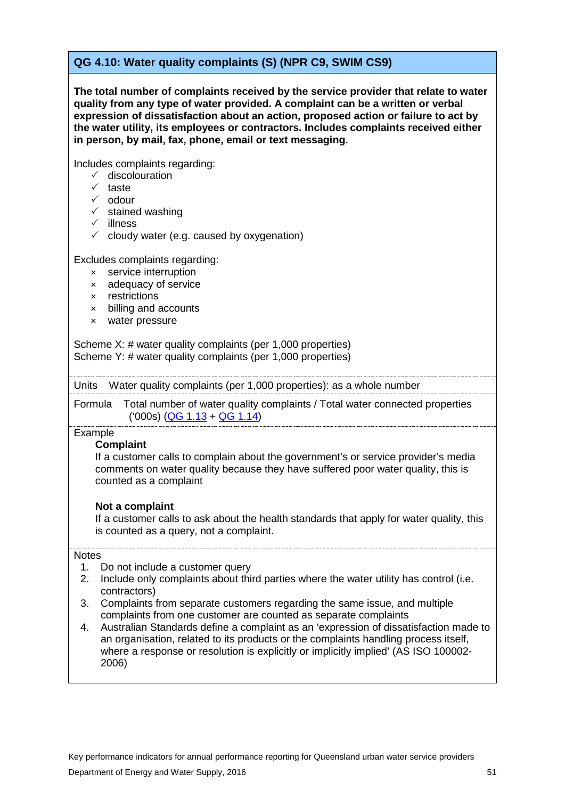# **QG 4.10: Water quality complaints (S) (NPR C9, SWIM CS9)**

**The total number of complaints received by the service provider that relate to water quality from any type of water provided. A complaint can be a written or verbal expression of dissatisfaction about an action, proposed action or failure to act by the water utility, its employees or contractors. Includes complaints received either in person, by mail, fax, phone, email or text messaging.** 

Includes complaints regarding:

- $\checkmark$  discolouration
- $\times$  taste
- $\checkmark$  odour
- $\checkmark$  stained washing
- $\checkmark$  illness
- $\checkmark$  cloudy water (e.g. caused by oxygenation)

Excludes complaints regarding:

- × service interruption
- × adequacy of service
- × restrictions
- × billing and accounts
- × water pressure

Scheme X: # water quality complaints (per 1,000 properties) Scheme Y: # water quality complaints (per 1,000 properties)

Units Water quality complaints (per 1,000 properties): as a whole number

Formula Total number of water quality complaints / Total water connected properties ('000s) [\(QG 1.13](#page-16-0) + [QG 1.14\)](#page-17-0)

#### **Example**

#### **Complaint**

If a customer calls to complain about the government's or service provider's media comments on water quality because they have suffered poor water quality, this is counted as a complaint

#### **Not a complaint**

If a customer calls to ask about the health standards that apply for water quality, this is counted as a query, not a complaint.

- 1. Do not include a customer query
- 2. Include only complaints about third parties where the water utility has control (i.e. contractors)
- 3. Complaints from separate customers regarding the same issue, and multiple complaints from one customer are counted as separate complaints
- 4. Australian Standards define a complaint as an 'expression of dissatisfaction made to an organisation, related to its products or the complaints handling process itself, where a response or resolution is explicitly or implicitly implied' (AS ISO 100002-2006)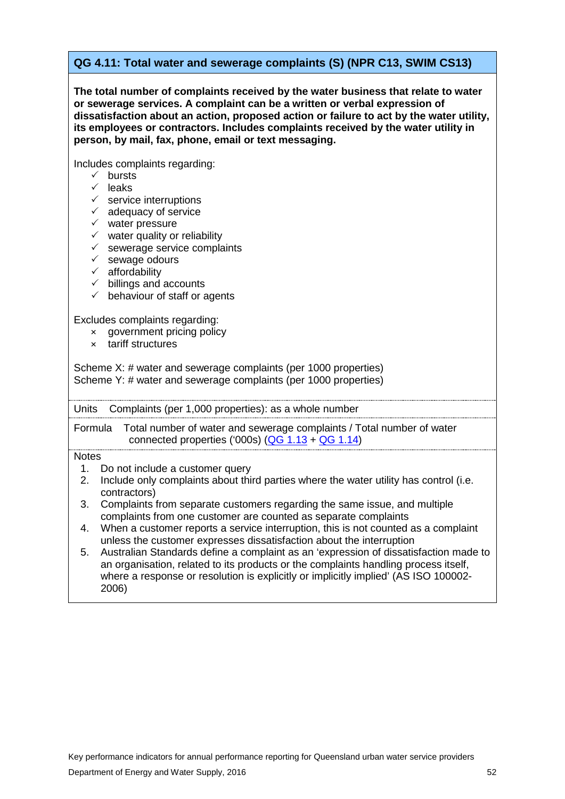### **QG 4.11: Total water and sewerage complaints (S) (NPR C13, SWIM CS13)**

**The total number of complaints received by the water business that relate to water or sewerage services. A complaint can be a written or verbal expression of dissatisfaction about an action, proposed action or failure to act by the water utility, its employees or contractors. Includes complaints received by the water utility in person, by mail, fax, phone, email or text messaging.** 

Includes complaints regarding:

- $\checkmark$  bursts
- $\checkmark$  leaks
- $\checkmark$  service interruptions
- $\checkmark$  adequacy of service
- $\checkmark$  water pressure
- $\checkmark$  water quality or reliability
- $\checkmark$  sewerage service complaints
- $\checkmark$  sewage odours
- $\checkmark$  affordability
- $\checkmark$  billings and accounts
- $\checkmark$  behaviour of staff or agents

Excludes complaints regarding:

- × government pricing policy
- × tariff structures

Scheme X: # water and sewerage complaints (per 1000 properties) Scheme Y: # water and sewerage complaints (per 1000 properties)

Units Complaints (per 1,000 properties): as a whole number

Formula Total number of water and sewerage complaints / Total number of water connected properties ('000s)  $(QG 1.13 + QG 1.14)$  $(QG 1.13 + QG 1.14)$  $(QG 1.13 + QG 1.14)$ 

- 1. Do not include a customer query
- 2. Include only complaints about third parties where the water utility has control (i.e. contractors)
- 3. Complaints from separate customers regarding the same issue, and multiple complaints from one customer are counted as separate complaints
- 4. When a customer reports a service interruption, this is not counted as a complaint unless the customer expresses dissatisfaction about the interruption
- 5. Australian Standards define a complaint as an 'expression of dissatisfaction made to an organisation, related to its products or the complaints handling process itself, where a response or resolution is explicitly or implicitly implied' (AS ISO 100002-2006)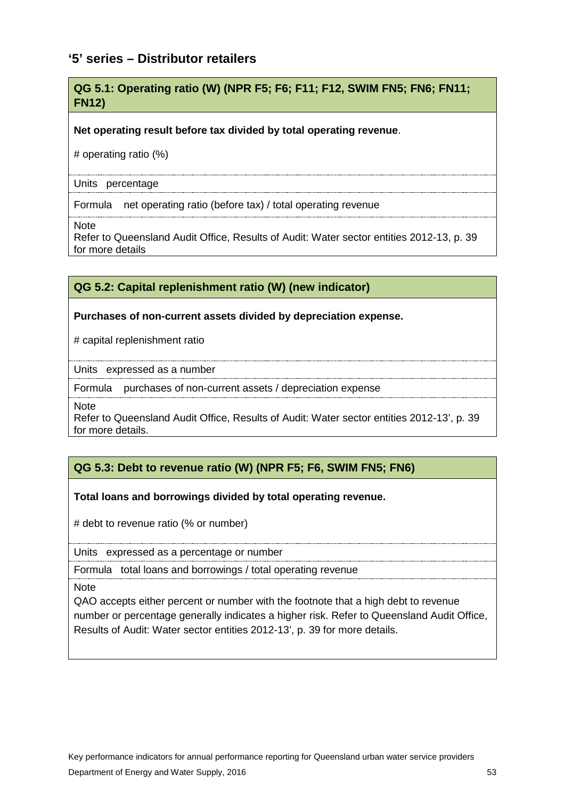# <span id="page-54-0"></span>**'5' series – Distributor retailers**

### **QG 5.1: Operating ratio (W) (NPR F5; F6; F11; F12, SWIM FN5; FN6; FN11; FN12)**

#### **Net operating result before tax divided by total operating revenue**.

# operating ratio (%)

#### Units percentage

Formula net operating ratio (before tax) / total operating revenue

**Note** 

Refer to Queensland Audit Office, [Results of Audit: Water sector entities 2012-13,](https://www.qao.qld.gov.au/reports-parliament/results-audit-water-sector-entities-2012-13) p. 39 for more details

## **QG 5.2: Capital replenishment ratio (W) (new indicator)**

#### **Purchases of non-current assets divided by depreciation expense.**

# capital replenishment ratio

Units expressed as a number

Formula purchases of non-current assets / depreciation expense

**Note** 

Refer to Queensland Audit Office, [Results of Audit: Water sector entities 2012-13'](https://www.qao.qld.gov.au/reports-parliament/results-audit-water-sector-entities-2012-13), p. 39 for more details.

### **QG 5.3: Debt to revenue ratio (W) (NPR F5; F6, SWIM FN5; FN6)**

#### **Total loans and borrowings divided by total operating revenue.**

# debt to revenue ratio (% or number)

Units expressed as a percentage or number

Formula total loans and borrowings / total operating revenue

**Note** 

QAO accepts either percent or number with the footnote that a high debt to revenue number or percentage generally indicates a higher risk. Refer to Queensland Audit Office, [Results of Audit: Water sector entities 2012-13](https://www.qao.qld.gov.au/reports-parliament/results-audit-water-sector-entities-2012-13)[',](https://www.qao.qld.gov.au/files/file/Reports%20and%20publications/Reports%20to%20Parliament%202013-14/RtP7Watersectorentities2012-13.pdf) p. 39 for more details.